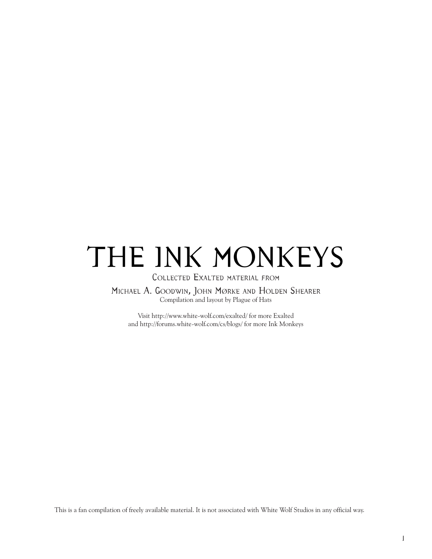# THE INK MONKEYS

Collected Exalted material from

Michael A. Goodwin, John Mørke and Holden Shearer Compilation and layout by Plague of Hats

Visit [http://www.white-wolf.com/exalted/ for more Exalted](http://www.white-wolf.com/exalted/index.php) and [http://forums.white-wolf.com/cs/blogs/](http://forums.white-wolf.com/cs/blogs/tags/ink+monkeys/default.aspx) for more Ink Monkeys

This is a fan compilation of freely available material. It is not associated with White Wolf Studios in any official way.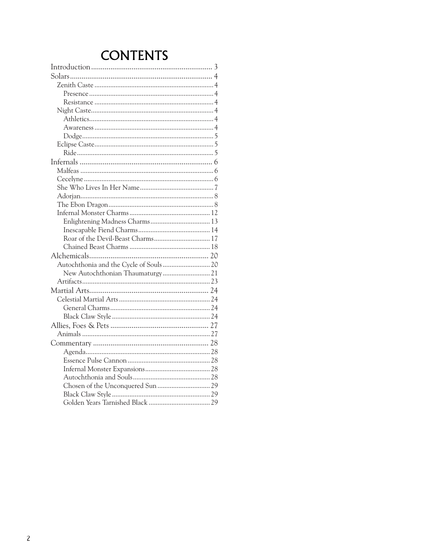# **CONTENTS**

| Enlightening Madness Charms 13         |  |
|----------------------------------------|--|
|                                        |  |
|                                        |  |
|                                        |  |
|                                        |  |
| Autochthonia and the Cycle of Souls 20 |  |
| New Autochthonian Thaumaturgy 21       |  |
|                                        |  |
|                                        |  |
|                                        |  |
|                                        |  |
|                                        |  |
|                                        |  |
|                                        |  |
|                                        |  |
|                                        |  |
|                                        |  |
|                                        |  |
|                                        |  |
|                                        |  |
|                                        |  |
|                                        |  |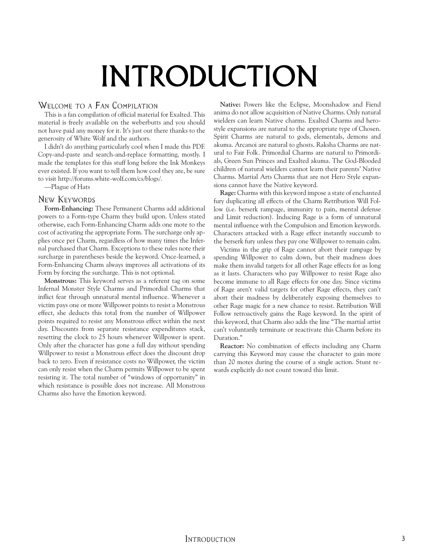# INTRODUCTION

#### <span id="page-2-0"></span>Welcome to a Fan Compilation

This is a fan compilation of official material for Exalted. This material is freely available on the weberbutts and you should not have paid any money for it. It's just out there thanks to the generosity of White Wolf and the authors.

I didn't do anything particularly cool when I made this PDF. Copy-and-paste and search-and-replace formatting, mostly. I made the templates for this stuff long before the Ink Monkeys ever existed. If you want to tell them how cool they are, be sure to visit [http://forums.white-wolf.com/cs/blogs/.](http://forums.white-wolf.com/cs/blogs/tags/ink+monkeys/default.aspx)

—Plague of Hats

#### New Keywords

**Form-Enhancing:** These Permanent Charms add additional powers to a Form-type Charm they build upon. Unless stated otherwise, each Form-Enhancing Charm adds one mote to the cost of activating the appropriate Form. The surcharge only applies once per Charm, regardless of how many times the Infernal purchased that Charm. Exceptions to these rules note their surcharge in parentheses beside the keyword. Once-learned, a Form-Enhancing Charm always improves all activations of its Form by forcing the surcharge. This is not optional.

**Monstrous:** This keyword serves as a referent tag on some Infernal Monster Style Charms and Primordial Charms that inflict fear through unnatural mental influence. Whenever a victim pays one or more Willpower points to resist a Monstrous effect, she deducts this total from the number of Willpower points required to resist any Monstrous effect within the next day. Discounts from separate resistance expenditures stack, resetting the clock to 25 hours whenever Willpower is spent. Only after the character has gone a full day without spending Willpower to resist a Monstrous effect does the discount drop back to zero. Even if resistance costs no Willpower, the victim can only resist when the Charm permits Willpower to be spent resisting it. The total number of "windows of opportunity" in which resistance is possible does not increase. All Monstrous Charms also have the Emotion keyword.

**Native:** Powers like the Eclipse, Moonshadow and Fiend anima do not allow acquisition of Native Charms. Only natural wielders can learn Native charms. Exalted Charms and herostyle expansions are natural to the appropriate type of Chosen. Spirit Charms are natural to gods, elementals, demons and akuma. Arcanoi are natural to ghosts. Raksha Charms are natural to Fair Folk. Primordial Charms are natural to Primordials, Green Sun Princes and Exalted akuma. The God-Blooded children of natural wielders cannot learn their parents' Native Charms. Martial Arts Charms that are not Hero Style expansions cannot have the Native keyword.

**Rage:** Charms with this keyword impose a state of enchanted fury duplicating all effects of the Charm Retribution Will Follow (i.e. berserk rampage, immunity to pain, mental defense and Limit reduction). Inducing Rage is a form of unnatural mental influence with the Compulsion and Emotion keywords. Characters attacked with a Rage effect instantly succumb to the berserk fury unless they pay one Willpower to remain calm.

Victims in the grip of Rage cannot abort their rampage by spending Willpower to calm down, but their madness does make them invalid targets for all other Rage effects for as long as it lasts. Characters who pay Willpower to resist Rage also become immune to all Rage effects for one day. Since victims of Rage aren't valid targets for other Rage effects, they can't abort their madness by deliberately exposing themselves to other Rage magic for a new chance to resist. Retribution Will Follow retroactively gains the Rage keyword. In the spirit of this keyword, that Charm also adds the line "The martial artist can't voluntarily terminate or reactivate this Charm before its Duration."

**Reactor:** No combination of effects including any Charm carrying this Keyword may cause the character to gain more than 20 motes during the course of a single action. Stunt rewards explicitly do not count toward this limit.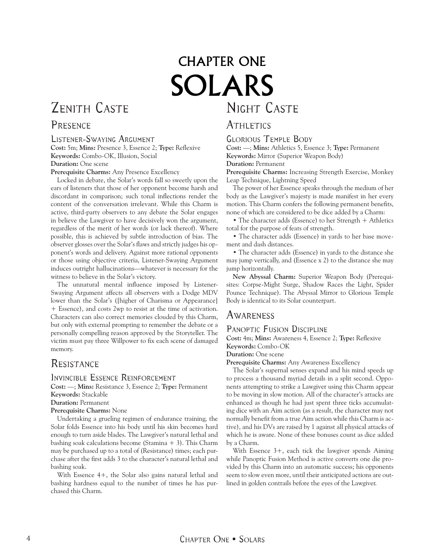# Night Caste CHAPTER ONE SOLARS

# <span id="page-3-0"></span>Zenith Caste

# **PRESENCE**

#### Listener-Swaying Argument

**Cost:** 5m; **Mins:** Presence 3, Essence 2; **Type:** Reflexive **Keywords:** Combo-OK, Illusion, Social **Duration:** One scene

**Prerequisite Charms:** Any Presence Excellency

Locked in debate, the Solar's words fall so sweetly upon the ears of listeners that those of her opponent become harsh and discordant in comparison; such tonal inflections render the content of the conversation irrelevant. While this Charm is active, third-party observers to any debate the Solar engages in believe the Lawgiver to have decisively won the argument, regardless of the merit of her words (or lack thereof). Where possible, this is achieved by subtle introduction of bias. The observer glosses over the Solar's flaws and strictly judges his opponent's words and delivery. Against more rational opponents or those using objective criteria, Listener-Swaying Argument induces outright hallucinations—whatever is necessary for the witness to believe in the Solar's victory.

The unnatural mental influence imposed by Listener-Swaying Argument affects all observers with a Dodge MDV lower than the Solar's ([higher of Charisma or Appearance] + Essence), and costs 2wp to resist at the time of activation. Characters can also correct memories clouded by this Charm, but only with external prompting to remember the debate or a personally compelling reason approved by the Storyteller. The victim must pay three Willpower to fix each scene of damaged memory.

# **RESISTANCE**

Invincible Essence Reinforcement

**Cost:** —; **Mins:** Resistance 3, Essence 2; **Type:** Permanent **Keywords:** Stackable

**Duration:** Permanent

**Prerequisite Charms:** None

Undertaking a grueling regimen of endurance training, the Solar folds Essence into his body until his skin becomes hard enough to turn aside blades. The Lawgiver's natural lethal and bashing soak calculations become (Stamina  $+$  3). This Charm may be purchased up to a total of (Resistance) times; each purchase after the first adds 3 to the character's natural lethal and bashing soak.

With Essence 4+, the Solar also gains natural lethal and bashing hardness equal to the number of times he has purchased this Charm.

# **ATHLETICS**

Glorious Temple Body

**Cost:** —; **Mins:** Athletics 5, Essence 3; **Type:** Permanent **Keywords:** Mirror (Superior Weapon Body) **Duration:** Permanent

**Prerequisite Charms:** Increasing Strength Exercise, Monkey Leap Technique, Lightning Speed

The power of her Essence speaks through the medium of her body as the Lawgiver's majesty is made manifest in her every motion. This Charm confers the following permanent benefits, none of which are considered to be dice added by a Charm:

• The character adds (Essence) to her Strength + Athletics total for the purpose of feats of strength.

• The character adds (Essence) in yards to her base movement and dash distances.

• The character adds (Essence) in yards to the distance she may jump vertically, and (Essence x 2) to the distance she may jump horizontally.

**New Abyssal Charm:** Superior Weapon Body (Prerequisites: Corpse-Might Surge, Shadow Races the Light, Spider Pounce Technique). The Abyssal Mirror to Glorious Temple Body is identical to its Solar counterpart.

## **AWARENESS**

#### PANOPTIC FUSION DISCIPLINE

**Cost:** 4m; **Mins:** Awareness 4, Essence 2; **Type:** Reflexive **Keywords:** Combo-OK

#### **Duration:** One scene

**Prerequisite Charms:** Any Awareness Excellency

The Solar's supernal senses expand and his mind speeds up to process a thousand myriad details in a split second. Opponents attempting to strike a Lawgiver using this Charm appear to be moving in slow motion. All of the character's attacks are enhanced as though he had just spent three ticks accumulating dice with an Aim action (as a result, the character may not normally benefit from a true Aim action while this Charm is active), and his DVs are raised by 1 against all physical attacks of which he is aware. None of these bonuses count as dice added by a Charm.

With Essence 3+, each tick the lawgiver spends Aiming while Panoptic Fusion Method is active converts one die provided by this Charm into an automatic success; his opponents seem to slow even more, until their anticipated actions are outlined in golden contrails before the eyes of the Lawgiver.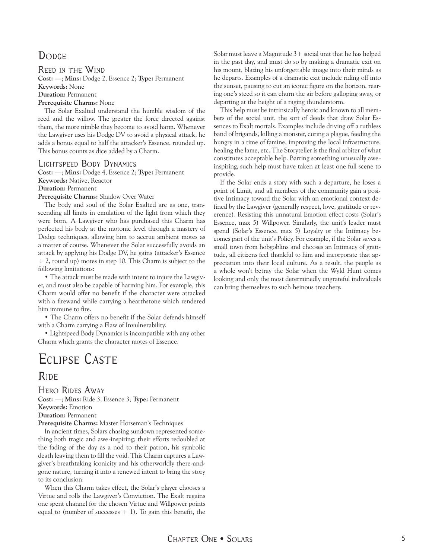# <span id="page-4-0"></span>DODGE

Reed in the Wind

**Cost:** —; **Mins:** Dodge 2, Essence 2; **Type:** Permanent

**Keywords:** None

**Duration:** Permanent

**Prerequisite Charms:** None

The Solar Exalted understand the humble wisdom of the reed and the willow. The greater the force directed against them, the more nimble they become to avoid harm. Whenever the Lawgiver uses his Dodge DV to avoid a physical attack, he adds a bonus equal to half the attacker's Essence, rounded up. This bonus counts as dice added by a Charm.

#### Lightspeed Body Dynamics

**Cost:** —; **Mins:** Dodge 4, Essence 2; **Type:** Permanent **Keywords:** Native, Reactor

**Duration:** Permanent

**Prerequisite Charms:** Shadow Over Water

The body and soul of the Solar Exalted are as one, transcending all limits in emulation of the light from which they were born. A Lawgiver who has purchased this Charm has perfected his body at the motonic level through a mastery of Dodge techniques, allowing him to accrue ambient motes as a matter of course. Whenever the Solar successfully avoids an attack by applying his Dodge DV, he gains (attacker's Essence  $\div$  2, round up) motes in step 10. This Charm is subject to the following limitations:

• The attack must be made with intent to injure the Lawgiver, and must also be capable of harming him. For example, this Charm would offer no benefit if the character were attacked with a firewand while carrying a hearthstone which rendered him immune to fire.

• The Charm offers no benefit if the Solar defends himself with a Charm carrying a Flaw of Invulnerability.

• Lightspeed Body Dynamics is incompatible with any other Charm which grants the character motes of Essence.

# Eclipse Caste

## **RIDE**

Hero Rides Away

**Cost:** —; **Mins:** Ride 3, Essence 3; **Type:** Permanent **Keywords:** Emotion **Duration:** Permanent

**Prerequisite Charms:** Master Horseman's Techniques

In ancient times, Solars chasing sundown represented something both tragic and awe-inspiring; their efforts redoubled at the fading of the day as a nod to their patron, his symbolic death leaving them to fill the void. This Charm captures a Lawgiver's breathtaking iconicity and his otherworldly there-andgone nature, turning it into a renewed intent to bring the story to its conclusion.

When this Charm takes effect, the Solar's player chooses a Virtue and rolls the Lawgiver's Conviction. The Exalt regains one spent channel for the chosen Virtue and Willpower points equal to (number of successes  $+1$ ). To gain this benefit, the

Solar must leave a Magnitude  $3+$  social unit that he has helped in the past day, and must do so by making a dramatic exit on his mount, blazing his unforgettable image into their minds as he departs. Examples of a dramatic exit include riding off into the sunset, pausing to cut an iconic figure on the horizon, rearing one's steed so it can churn the air before galloping away, or departing at the height of a raging thunderstorm.

This help must be intrinsically heroic and known to all members of the social unit, the sort of deeds that draw Solar Essences to Exalt mortals. Examples include driving off a ruthless band of brigands, killing a monster, curing a plague, feeding the hungry in a time of famine, improving the local infrastructure, healing the lame, etc. The Storyteller is the final arbiter of what constitutes acceptable help. Barring something unusually aweinspiring, such help must have taken at least one full scene to provide.

If the Solar ends a story with such a departure, he loses a point of Limit, and all members of the community gain a positive Intimacy toward the Solar with an emotional context defined by the Lawgiver (generally respect, love, gratitude or reverence). Resisting this unnatural Emotion effect costs (Solar's Essence, max 5) Willpower. Similarly, the unit's leader must spend (Solar's Essence, max 5) Loyalty or the Intimacy becomes part of the unit's Policy. For example, if the Solar saves a small town from hobgoblins and chooses an Intimacy of gratitude, all citizens feel thankful to him and incorporate that appreciation into their local culture. As a result, the people as a whole won't betray the Solar when the Wyld Hunt comes looking and only the most determinedly ungrateful individuals can bring themselves to such heinous treachery.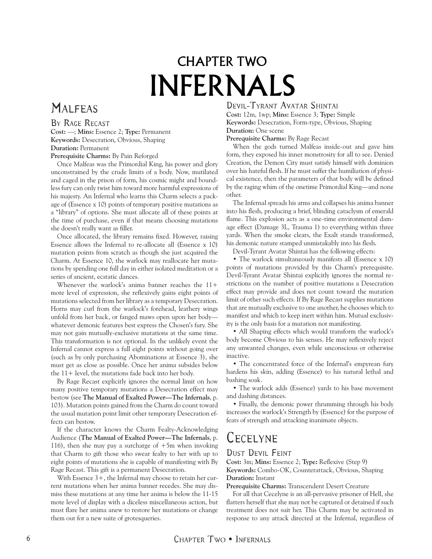# CHAPTER TWO INFERNALS

# <span id="page-5-0"></span>**MALFEAS**

#### BY RAGE RECAST **Cost:** —; **Mins:** Essence 2; **Type:** Permanent **Keywords:** Desecration, Obvious, Shaping

**Duration:** Permanent

**Prerequisite Charms:** By Pain Reforged

Once Malfeas was the Primordial King, his power and glory unconstrained by the crude limits of a body. Now, mutilated and caged in the prison of form, his cosmic might and boundless fury can only twist him toward more harmful expressions of his majesty. An Infernal who learns this Charm selects a package of (Essence x 10) points of temporary positive mutations as a "library" of options. She must allocate all of these points at the time of purchase, even if that means choosing mutations she doesn't really want as filler.

Once allocated, the library remains fixed. However, raising Essence allows the Infernal to re-allocate all (Essence x 10) mutation points from scratch as though she just acquired the Charm. At Essence 10, the warlock may reallocate her mutations by spending one full day in either isolated meditation or a series of ancient, ecstatic dances.

Whenever the warlock's anima banner reaches the  $11+$ mote level of expression, she reflexively gains eight points of mutations selected from her library as a temporary Desecration. Horns may curl from the warlock's forehead, leathery wings unfold from her back, or fanged maws open upon her body whatever demonic features best express the Chosen's fury. She may not gain mutually-exclusive mutations at the same time. This transformation is not optional. In the unlikely event the Infernal cannot express a full eight points without going over (such as by only purchasing Abominations at Essence 3), she must get as close as possible. Once her anima subsides below the  $11+$  level, the mutations fade back into her body.

By Rage Recast explicitly ignores the normal limit on how many positive temporary mutations a Desecration effect may bestow (see **The Manual of Exalted Power—The Infernals**, p. 103). Mutation points gained from the Charm do count toward the usual mutation point limit other temporary Desecration effects can bestow.

If the character knows the Charm Fealty-Acknowledging Audience (**The Manual of Exalted Power—The Infernals**, p. 116), then she may pay a surcharge of  $+5m$  when invoking that Charm to gift those who swear fealty to her with up to eight points of mutations she is capable of manifesting with By Rage Recast. This gift is a permanent Desecration.

With Essence 3+, the Infernal may choose to retain her current mutations when her anima banner recedes. She may dismiss these mutations at any time her anima is below the 11-15 mote level of display with a diceless miscellaneous action, but must flare her anima anew to restore her mutations or change them out for a new suite of grotesqueries.

### Devil-Tyrant Avatar Shintai

**Cost:** 12m, 1wp; **Mins:** Essence 3; **Type:** Simple **Keywords:** Desecration, Form-type, Obvious, Shaping **Duration:** One scene

**Prerequisite Charms:** By Rage Recast

When the gods turned Malfeas inside-out and gave him form, they exposed his inner monstrosity for all to see. Denied Creation, the Demon City must satisfy himself with dominion over his hateful flesh. If he must suffer the humiliation of physical existence, then the parameters of that body will be defined by the raging whim of the onetime Primordial King—and none other.

The Infernal spreads his arms and collapses his anima banner into his flesh, producing a brief, blinding cataclysm of emerald flame. This explosion acts as a one-time environmental damage effect (Damage 3L, Trauma 1) to everything within three yards. When the smoke clears, the Exalt stands transformed, his demonic nature stamped unmistakably into his flesh.

Devil-Tyrant Avatar Shintai has the following effects:

• The warlock simultaneously manifests all (Essence x 10) points of mutations provided by this Charm's prerequisite. Devil-Tyrant Avatar Shintai explicitly ignores the normal restrictions on the number of positive mutations a Desecration effect may provide and does not count toward the mutation limit of other such effects. If By Rage Recast supplies mutations that are mutually exclusive to one another, he chooses which to manifest and which to keep inert within him. Mutual exclusivity is the only basis for a mutation not manifesting.

• All Shaping effects which would transform the warlock's body become Obvious to his senses. He may reflexively reject any unwanted changes, even while unconscious or otherwise inactive.

• The concentrated force of the Infernal's empyrean fury hardens his skin, adding (Essence) to his natural lethal and bashing soak.

• The warlock adds (Essence) yards to his base movement and dashing distances.

• Finally, the demonic power thrumming through his body increases the warlock's Strength by (Essence) for the purpose of feats of strength and attacking inanimate objects.

# **CECELYNE**

### Dust Devil Feint

**Cost:** 3m; **Mins:** Essence 2; **Type:** Reflexive (Step 9) **Keywords:** Combo-OK, Counterattack, Obvious, Shaping **Duration:** Instant

**Prerequisite Charms:** Transcendent Desert Creature

For all that Cecelyne is an all-pervasive prisoner of Hell, she flatters herself that she may not be captured or detained if such treatment does not suit her. This Charm may be activated in response to any attack directed at the Infernal, regardless of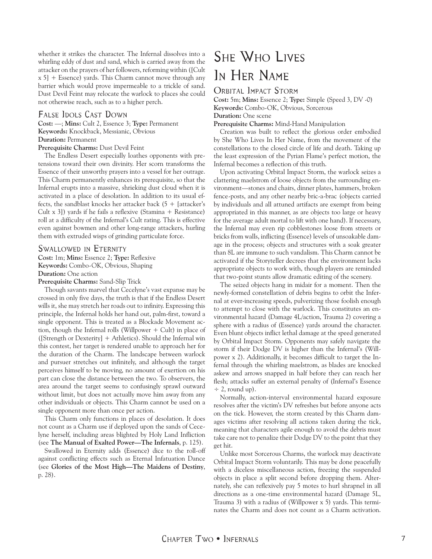<span id="page-6-0"></span>whether it strikes the character. The Infernal dissolves into a whirling eddy of dust and sand, which is carried away from the attacker on the prayers of her followers, reforming within ([Cult x 5] + Essence) yards. This Charm cannot move through any barrier which would prove impermeable to a trickle of sand. Dust Devil Feint may relocate the warlock to places she could not otherwise reach, such as to a higher perch.

#### FALSE IDOLS CAST DOWN

**Cost:** —; **Mins:** Cult 2, Essence 3; **Type:** Permanent **Keywords:** Knockback, Messianic, Obvious **Duration:** Permanent

**Prerequisite Charms:** Dust Devil Feint

The Endless Desert especially loathes opponents with pretensions toward their own divinity. Her scorn transforms the Essence of their unworthy prayers into a vessel for her outrage. This Charm permanently enhances its prerequisite, so that the Infernal erupts into a massive, shrieking dust cloud when it is activated in a place of desolation. In addition to its usual effects, the sandblast knocks her attacker back  $(5 +$  [attacker's Cult x 3]) yards if he fails a reflexive (Stamina + Resistance) roll at a difficulty of the Infernal's Cult rating. This is effective even against bowmen and other long-range attackers, hurling them with extruded wisps of grinding particulate force.

#### Swallowed in Eternity

**Cost:** 1m; **Mins:** Essence 2; **Type:** Reflexive **Keywords:** Combo-OK, Obvious, Shaping **Duration:** One action

**Prerequisite Charms:** Sand-Slip Trick

Though savants marvel that Cecelyne's vast expanse may be crossed in only five days, the truth is that if the Endless Desert wills it, she may stretch her roads out to infinity. Expressing this principle, the Infernal holds her hand out, palm-first, toward a single opponent. This is treated as a Blockade Movement action, though the Infernal rolls (Willpower  $+$  Cult) in place of ([Strength or Dexterity] + Athletics). Should the Infernal win this contest, her target is rendered unable to approach her for the duration of the Charm. The landscape between warlock and pursuer stretches out infinitely, and although the target perceives himself to be moving, no amount of exertion on his part can close the distance between the two. To observers, the area around the target seems to confusingly sprawl outward without limit, but does not actually move him away from any other individuals or objects. This Charm cannot be used on a single opponent more than once per action.

This Charm only functions in places of desolation. It does not count as a Charm use if deployed upon the sands of Cecelyne herself, including areas blighted by Holy Land Infliction (see **The Manual of Exalted Power—The Infernals**, p. 125).

Swallowed in Eternity adds (Essence) dice to the roll-off against conflicting effects such as Eternal Infatuation Dance (see **Glories of the Most High—The Maidens of Destiny**, p. 28).

# She Who Lives In HER NAME

#### Orbital Impact Storm

**Cost:** 5m; **Mins:** Essence 2; **Type:** Simple (Speed 3, DV -0) **Keywords:** Combo-OK, Obvious, Sorcerous **Duration:** One scene **Prerequisite Charms:** Mind-Hand Manipulation

Creation was built to reflect the glorious order embodied by She Who Lives In Her Name, from the movement of the constellations to the closed circle of life and death. Taking up the least expression of the Pyrian Flame's perfect motion, the Infernal becomes a reflection of this truth.

Upon activating Orbital Impact Storm, the warlock seizes a clattering maelstrom of loose objects from the surrounding environment—stones and chairs, dinner plates, hammers, broken fence-posts, and any other nearby bric-a-brac (objects carried by individuals and all attuned artifacts are exempt from being appropriated in this manner, as are objects too large or heavy for the average adult mortal to lift with one hand). If necessary, the Infernal may even rip cobblestones loose from streets or bricks from walls, inflicting (Essence) levels of unsoakable damage in the process; objects and structures with a soak greater than 8L are immune to such vandalism. This Charm cannot be activated if the Storyteller decrees that the environment lacks appropriate objects to work with, though players are reminded that two-point stunts allow dramatic editing of the scenery.

The seized objects hang in midair for a moment. Then the newly-formed constellation of debris begins to orbit the Infernal at ever-increasing speeds, pulverizing those foolish enough to attempt to close with the warlock. This constitutes an environmental hazard (Damage 4L/action, Trauma 2) covering a sphere with a radius of (Essence) yards around the character. Even blunt objects inflict lethal damage at the speed generated by Orbital Impact Storm. Opponents may safely navigate the storm if their Dodge DV is higher than the Infernal's (Willpower x 2). Additionally, it becomes difficult to target the Infernal through the whirling maelstrom, as blades are knocked askew and arrows snapped in half before they can reach her flesh; attacks suffer an external penalty of (Infernal's Essence  $\div$  2, round up).

Normally, action-interval environmental hazard exposure resolves after the victim's DV refreshes but before anyone acts on the tick. However, the storm created by this Charm damages victims after resolving all actions taken during the tick, meaning that characters agile enough to avoid the debris must take care not to penalize their Dodge DV to the point that they get hit.

Unlike most Sorcerous Charms, the warlock may deactivate Orbital Impact Storm voluntarily. This may be done peacefully with a diceless miscellaneous action, freezing the suspended objects in place a split second before dropping them. Alternately, she can reflexively pay 5 motes to hurl shrapnel in all directions as a one-time environmental hazard (Damage 5L, Trauma 3) with a radius of (Willpower x 5) yards. This terminates the Charm and does not count as a Charm activation.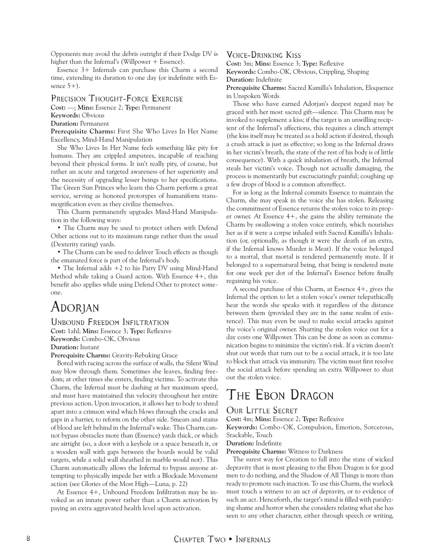<span id="page-7-0"></span>Opponents may avoid the debris outright if their Dodge DV is higher than the Infernal's (Willpower + Essence).

Essence 3+ Infernals can purchase this Charm a second time, extending its duration to one day (or indefinite with Essence  $5+$ ).

#### Precision Thought-Force Exercise

**Cost:** —; **Mins:** Essence 2; **Type:** Permanent

**Keywords:** Obvious

**Duration:** Permanent

**Prerequisite Charms:** First She Who Lives In Her Name Excellency, Mind-Hand Manipulation

She Who Lives In Her Name feels something like pity for humans. They are crippled amputees, incapable of reaching beyond their physical forms. It isn't really pity, of course, but rather an acute and targeted awareness of her superiority and the necessity of upgrading lesser beings to her specifications. The Green Sun Princes who learn this Charm perform a great service, serving as honored prototypes of humaniform transmogrification even as they civilize themselves.

This Charm permanently upgrades Mind-Hand Manipulation in the following ways:

• The Charm may be used to protect others with Defend Other actions out to its maximum range rather than the usual (Dexterity rating) yards.

• The Charm can be used to deliver Touch effects as though the emanated force is part of the Infernal's body.

• The Infernal adds +2 to his Parry DV using Mind-Hand Method while taking a Guard action. With Essence 4+, this benefit also applies while using Defend Other to protect someone.

# Adorjan

#### Unbound Freedom Infiltration

**Cost:** 1ahl; **Mins:** Essence 3; **Type:** Reflexive **Keywords:** Combo-OK, Obvious **Duration:** Instant

**Prerequisite Charms:** Gravity-Rebuking Grace

Bored with racing across the surface of walls, the Silent Wind may blow through them. Sometimes she leaves, finding freedom; at other times she enters, finding victims. To activate this Charm, the Infernal must be dashing at her maximum speed, and must have maintained this velocity throughout her entire previous action. Upon invocation, it allows her to body to shred apart into a crimson wind which blows through the cracks and gaps in a barrier, to reform on the other side. Smears and stains of blood are left behind in the Infernal's wake. This Charm cannot bypass obstacles more than (Essence) yards thick, or which are airtight (so, a door with a keyhole or a space beneath it, or a wooden wall with gaps between the boards would be valid targets, while a solid wall sheathed in marble would not). This Charm automatically allows the Infernal to bypass anyone attempting to physically impede her with a Blockade Movement action (see Glories of the Most High—Luna, p. 22)

At Essence 4+, Unbound Freedom Infiltration may be invoked as an innate power rather than a Charm activation by paying an extra aggravated health level upon activation.

### Voice-Drinking Kiss

**Cost:** 3m; **Mins:** Essence 3; **Type:** Reflexive

**Keywords:** Combo-OK, Obvious, Crippling, Shaping **Duration:** Indefinite

**Prerequisite Charms:** Sacred Kamilla's Inhalation, Eloquence in Unspoken Words

Those who have earned Adorjan's deepest regard may be graced with her most sacred gift—silence. This Charm may be invoked to supplement a kiss; if the target is an unwilling recipient of the Infernal's affections, this requires a clinch attempt (the kiss itself may be treated as a hold action if desired, though a crush attack is just as effective; so long as the Infernal draws in her victim's breath, the state of the rest of his body is of little consequence). With a quick inhalation of breath, the Infernal steals her victim's voice. Though not actually damaging, the process is momentarily but excruciatingly painful; coughing up a few drops of blood is a common aftereffect.

For as long as the Infernal commits Essence to maintain the Charm, she may speak in the voice she has stolen. Releasing the commitment of Essence returns the stolen voice to its proper owner. At Essence 4+, she gains the ability terminate the Charm by swallowing a stolen voice entirely, which nourishes her as if it were a corpse inhaled with Sacred Kamilla's Inhalation (or, optionally, as though it were the death of an extra, if the Infernal knows Murder is Meat). If the voice belonged to a mortal, that mortal is rendered permanently mute. If it belonged to a supernatural being, that being is rendered mute for one week per dot of the Infernal's Essence before finally regaining his voice.

A second purchase of this Charm, at Essence 4+, gives the Infernal the option to let a stolen voice's owner telepathically hear the words she speaks with it regardless of the distance between them (provided they are in the same realm of existence). This may even be used to make social attacks against the voice's original owner. Shutting the stolen voice out for a day costs one Willpower. This can be done as soon as communication begins to minimize the victim's risk. If a victim doesn't shut out words that turn out to be a social attack, it is too late to block that attack via immunity. The victim must first resolve the social attack before spending an extra Willpower to shut out the stolen voice.

# The Ebon Dragon

### OUR LITTLE SECRET

**Cost:** 4m; **Mins:** Essence 2; **Type:** Reflexive

**Keywords:** Combo-OK, Compulsion, Emotion, Sorcerous, Stackable, Touch

#### **Duration:** Indefinite

**Prerequisite Charms:** Witness to Darkness

The surest way for Creation to fall into the state of wicked depravity that is most pleasing to the Ebon Dragon is for good men to do nothing, and the Shadow of All Things is more than ready to promote such inaction. To use this Charm, the warlock must touch a witness to an act of depravity, or to evidence of such an act. Henceforth, the target's mind is filled with paralyzing shame and horror when she considers relating what she has seen to any other character, either through speech or writing,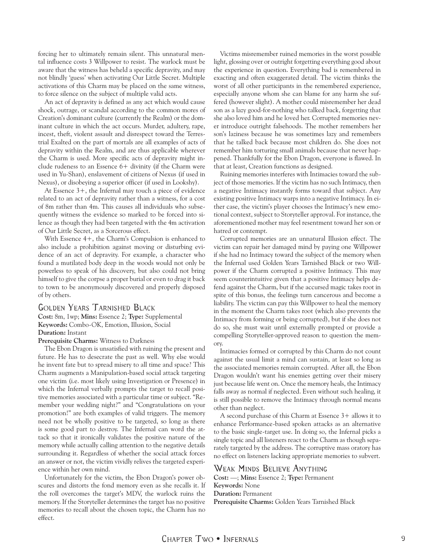forcing her to ultimately remain silent. This unnatural mental influence costs 3 Willpower to resist. The warlock must be aware that the witness has beheld a specific depravity, and may not blindly 'guess' when activating Our Little Secret. Multiple activations of this Charm may be placed on the same witness, to force silence on the subject of multiple valid acts.

An act of depravity is defined as any act which would cause shock, outrage, or scandal according to the common mores of Creation's dominant culture (currently the Realm) or the dominant culture in which the act occurs. Murder, adultery, rape, incest, theft, violent assault and disrespect toward the Terrestrial Exalted on the part of mortals are all examples of acts of depravity within the Realm, and are thus applicable wherever the Charm is used. More specific acts of depravity might include rudeness to an Essence 6+ divinity (if the Charm were used in Yu-Shan), enslavement of citizens of Nexus (if used in Nexus), or disobeying a superior officer (if used in Lookshy).

At Essence 3+, the Infernal may touch a piece of evidence related to an act of depravity rather than a witness, for a cost of 8m rather than 4m. This causes all individuals who subsequently witness the evidence so marked to be forced into silence as though they had been targeted with the 4m activation of Our Little Secret, as a Sorcerous effect.

With Essence 4+, the Charm's Compulsion is enhanced to also include a prohibition against moving or disturbing evidence of an act of depravity. For example, a character who found a mutilated body deep in the woods would not only be powerless to speak of his discovery, but also could not bring himself to give the corpse a proper burial or even to drag it back to town to be anonymously discovered and properly disposed of by others.

#### Golden Years Tarnished Black

**Cost:** 8m, 1wp; **Mins:** Essence 2; **Type:** Supplemental **Keywords:** Combo-OK, Emotion, Illusion, Social **Duration:** Instant

#### **Prerequisite Charms:** Witness to Darkness

The Ebon Dragon is unsatisfied with ruining the present and future. He has to desecrate the past as well. Why else would he invent fate but to spread misery to all time and space? This Charm augments a Manipulation-based social attack targeting one victim (i.e. most likely using Investigation or Presence) in which the Infernal verbally prompts the target to recall positive memories associated with a particular time or subject. "Remember your wedding night?" and "Congratulations on your promotion!" are both examples of valid triggers. The memory need not be wholly positive to be targeted, so long as there is some good part to destroy. The Infernal can word the attack so that it ironically validates the positive nature of the memory while actually calling attention to the negative details surrounding it. Regardless of whether the social attack forces an answer or not, the victim vividly relives the targeted experience within her own mind.

Unfortunately for the victim, the Ebon Dragon's power obscures and distorts the fond memory even as she recalls it. If the roll overcomes the target's MDV, the warlock ruins the memory. If the Storyteller determines the target has no positive memories to recall about the chosen topic, the Charm has no effect.

Victims misremember ruined memories in the worst possible light, glossing over or outright forgetting everything good about the experience in question. Everything bad is remembered in exacting and often exaggerated detail. The victim thinks the worst of all other participants in the remembered experience, especially anyone whom she can blame for any harm she suffered (however slight). A mother could misremember her dead son as a lazy good-for-nothing who talked back, forgetting that she also loved him and he loved her. Corrupted memories never introduce outright falsehoods. The mother remembers her son's laziness because he was sometimes lazy and remembers that he talked back because most children do. She does not remember him torturing small animals because that never happened. Thankfully for the Ebon Dragon, everyone is flawed. In that at least, Creation functions as designed.

Ruining memories interferes with Intimacies toward the subject of those memories. If the victim has no such Intimacy, then a negative Intimacy instantly forms toward that subject. Any existing positive Intimacy warps into a negative Intimacy. In either case, the victim's player chooses the Intimacy's new emotional context, subject to Storyteller approval. For instance, the aforementioned mother may feel resentment toward her son or hatred or contempt.

Corrupted memories are an unnatural Illusion effect. The victim can repair her damaged mind by paying one Willpower if she had no Intimacy toward the subject of the memory when the Infernal used Golden Years Tarnished Black or two Willpower if the Charm corrupted a positive Intimacy. This may seem counterintuitive given that a positive Intimacy helps defend against the Charm, but if the accursed magic takes root in spite of this bonus, the feelings turn cancerous and become a liability. The victim can pay this Willpower to heal the memory in the moment the Charm takes root (which also prevents the Intimacy from forming or being corrupted), but if she does not do so, she must wait until externally prompted or provide a compelling Storyteller-approved reason to question the memory.

Intimacies formed or corrupted by this Charm do not count against the usual limit a mind can sustain, at least so long as the associated memories remain corrupted. After all, the Ebon Dragon wouldn't want his enemies getting over their misery just because life went on. Once the memory heals, the Intimacy falls away as normal if neglected. Even without such healing, it is still possible to remove the Intimacy through normal means other than neglect.

A second purchase of this Charm at Essence 3+ allows it to enhance Performance-based spoken attacks as an alternative to the basic single-target use. In doing so, the Infernal picks a single topic and all listeners react to the Charm as though separately targeted by the address. The corruptive mass oratory has no effect on listeners lacking appropriate memories to subvert.

#### Weak Minds Believe Anything

**Cost:** —; **Mins:** Essence 2; **Type:** Permanent **Keywords:** None **Duration:** Permanent **Prerequisite Charms:** Golden Years Tarnished Black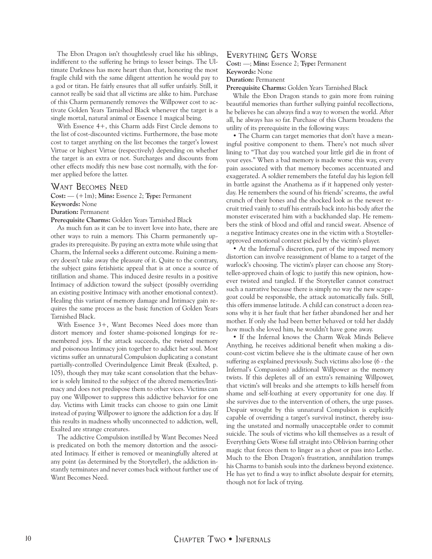The Ebon Dragon isn't thoughtlessly cruel like his siblings, indifferent to the suffering he brings to lesser beings. The Ultimate Darkness has more heart than that, honoring the most fragile child with the same diligent attention he would pay to a god or titan. He fairly ensures that all suffer unfairly. Still, it cannot really be said that all victims are alike to him. Purchase of this Charm permanently removes the Willpower cost to activate Golden Years Tarnished Black whenever the target is a single mortal, natural animal or Essence 1 magical being.

With Essence 4+, this Charm adds First Circle demons to the list of cost-discounted victims. Furthermore, the base mote cost to target anything on the list becomes the target's lowest Virtue or highest Virtue (respectively) depending on whether the target is an extra or not. Surcharges and discounts from other effects modify this new base cost normally, with the former applied before the latter.

#### Want Becomes Need

**Cost:** — (+1m); **Mins:** Essence 2; **Type:** Permanent

**Keywords:** None

**Duration:** Permanent

**Prerequisite Charms:** Golden Years Tarnished Black

As much fun as it can be to invert love into hate, there are other ways to ruin a memory. This Charm permanently upgrades its prerequisite. By paying an extra mote while using that Charm, the Infernal seeks a different outcome. Ruining a memory doesn't take away the pleasure of it. Quite to the contrary, the subject gains fetishistic appeal that is at once a source of titillation and shame. This induced desire results in a positive Intimacy of addiction toward the subject (possibly overriding an existing positive Intimacy with another emotional context). Healing this variant of memory damage and Intimacy gain requires the same process as the basic function of Golden Years Tarnished Black.

With Essence 3+, Want Becomes Need does more than distort memory and foster shame-poisoned longings for remembered joys. If the attack succeeds, the twisted memory and poisonous Intimacy join together to addict her soul. Most victims suffer an unnatural Compulsion duplicating a constant partially-controlled Overindulgence Limit Break (Exalted, p. 105), though they may take scant consolation that the behavior is solely limited to the subject of the altered memories/Intimacy and does not predispose them to other vices. Victims can pay one Willpower to suppress this addictive behavior for one day. Victims with Limit tracks can choose to gain one Limit instead of paying Willpower to ignore the addiction for a day. If this results in madness wholly unconnected to addiction, well, Exalted are strange creatures.

The addictive Compulsion instilled by Want Becomes Need is predicated on both the memory distortion and the associated Intimacy. If either is removed or meaningfully altered at any point (as determined by the Storyteller), the addiction instantly terminates and never comes back without further use of Want Becomes Need.

#### Everything Gets Worse

**Cost:** —; **Mins:** Essence 2; **Type:** Permanent

**Keywords:** None

**Duration:** Permanent

**Prerequisite Charms:** Golden Years Tarnished Black

While the Ebon Dragon stands to gain more from ruining beautiful memories than further sullying painful recollections, he believes he can always find a way to worsen the world. After all, he always has so far. Purchase of this Charm broadens the utility of its prerequisite in the following ways:

• The Charm can target memories that don't have a meaningful positive component to them. There's not much silver lining to "That day you watched your little girl die in front of your eyes." When a bad memory is made worse this way, every pain associated with that memory becomes accentuated and exaggerated. A soldier remembers the fateful day his legion fell in battle against the Anathema as if it happened only yesterday. He remembers the sound of his friends' screams, the awful crunch of their bones and the shocked look as the newest recruit tried vainly to stuff his entrails back into his body after the monster eviscerated him with a backhanded slap. He remembers the stink of blood and offal and rancid sweat. Absence of a negative Intimacy creates one in the victim with a Stoytellerapproved emotional context picked by the victim's player.

• At the Infernal's discretion, part of the imposed memory distortion can involve reassignment of blame to a target of the warlock's choosing. The victim's player can choose any Storyteller-approved chain of logic to justify this new opinion, however twisted and tangled. If the Storyteller cannot construct such a narrative because there is simply no way the new scapegoat could be responsible, the attack automatically fails. Still, this offers immense latitude. A child can construct a dozen reasons why it is her fault that her father abandoned her and her mother. If only she had been better behaved or told her daddy how much she loved him, he wouldn't have gone away.

• If the Infernal knows the Charm Weak Minds Believe Anything, he receives additional benefit when making a discount-cost victim believe she is the ultimate cause of her own suffering as explained previously. Such victims also lose (6 - the Infernal's Compassion) additional Willpower as the memory twists. If this depletes all of an extra's remaining Willpower, that victim's will breaks and she attempts to kills herself from shame and self-loathing at every opportunity for one day. If she survives due to the intervention of others, the urge passes. Despair wrought by this unnatural Compulsion is explicitly capable of overriding a target's survival instinct, thereby issuing the unstated and normally unacceptable order to commit suicide. The souls of victims who kill themselves as a result of Everything Gets Worse fall straight into Oblivion barring other magic that forces them to linger as a ghost or pass into Lethe. Much to the Ebon Dragon's frustration, annihilation trumps his Charms to banish souls into the darkness beyond existence. He has yet to find a way to inflict absolute despair for eternity, though not for lack of trying.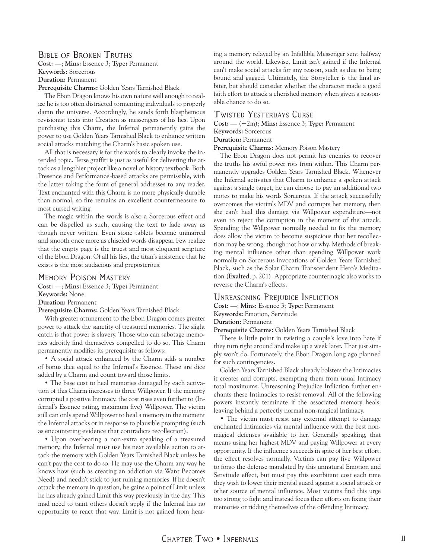### Bible of Broken Truths

**Cost:** —; **Mins:** Essence 3; **Type:** Permanent **Keywords:** Sorcerous **Duration:** Permanent **Prerequisite Charms:** Golden Years Tarnished Black

The Ebon Dragon knows his own nature well enough to realize he is too often distracted tormenting individuals to properly damn the universe. Accordingly, he sends forth blasphemous revisionist texts into Creation as messengers of his lies. Upon purchasing this Charm, the Infernal permanently gains the power to use Golden Years Tarnished Black to enhance written social attacks matching the Charm's basic spoken use.

All that is necessary is for the words to clearly invoke the intended topic. Terse graffiti is just as useful for delivering the attack as a lengthier project like a novel or history textbook. Both Presence and Performance-based attacks are permissible, with the latter taking the form of general addresses to any reader. Text enchanted with this Charm is no more physically durable than normal, so fire remains an excellent countermeasure to most cursed writing.

The magic within the words is also a Sorcerous effect and can be dispelled as such, causing the text to fade away as though never written. Even stone tablets become unmarred and smooth once more as chiseled words disappear. Few realize that the empty page is the truest and most eloquent scripture of the Ebon Dragon. Of all his lies, the titan's insistence that he exists is the most audacious and preposterous.

#### Memory Poison Mastery

**Cost:** —; **Mins:** Essence 3; **Type:** Permanent

**Keywords:** None

**Duration:** Permanent

**Prerequisite Charms:** Golden Years Tarnished Black

With greater attunement to the Ebon Dragon comes greater power to attack the sanctity of treasured memories. The slight catch is that power is slavery. Those who can sabotage memories adroitly find themselves compelled to do so. This Charm permanently modifies its prerequisite as follows:

• A social attack enhanced by the Charm adds a number of bonus dice equal to the Infernal's Essence. These are dice added by a Charm and count toward those limits.

• The base cost to heal memories damaged by each activation of this Charm increases to three Willpower. If the memory corrupted a positive Intimacy, the cost rises even further to (Infernal's Essence rating, maximum five) Willpower. The victim still can only spend Willpower to heal a memory in the moment the Infernal attacks or in response to plausible prompting (such as encountering evidence that contradicts recollection).

• Upon overhearing a non-extra speaking of a treasured memory, the Infernal must use his next available action to attack the memory with Golden Years Tarnished Black unless he can't pay the cost to do so. He may use the Charm any way he knows how (such as creating an addiction via Want Becomes Need) and needn't stick to just ruining memories. If he doesn't attack the memory in question, he gains a point of Limit unless he has already gained Limit this way previously in the day. This mad need to taint others doesn't apply if the Infernal has no opportunity to react that way. Limit is not gained from hear-

ing a memory relayed by an Infallible Messenger sent halfway around the world. Likewise, Limit isn't gained if the Infernal can't make social attacks for any reason, such as due to being bound and gagged. Ultimately, the Storyteller is the final arbiter, but should consider whether the character made a good faith effort to attack a cherished memory when given a reasonable chance to do so.

#### Twisted Yesterdays Curse

**Cost:** — (+2m); **Mins:** Essence 3; **Type:** Permanent

**Keywords:** Sorcerous

#### **Duration:** Permanent

**Prerequisite Charms:** Memory Poison Mastery

The Ebon Dragon does not permit his enemies to recover the truths his awful power rots from within. This Charm permanently upgrades Golden Years Tarnished Black. Whenever the Infernal activates that Charm to enhance a spoken attack against a single target, he can choose to pay an additional two motes to make his words Sorcerous. If the attack successfully overcomes the victim's MDV and corrupts her memory, then she can't heal this damage via Willpower expenditure—not even to reject the corruption in the moment of the attack. Spending the Willpower normally needed to fix the memory does allow the victim to become suspicious that her recollection may be wrong, though not how or why. Methods of breaking mental influence other than spending Willpower work normally on Sorcerous invocations of Golden Years Tarnished Black, such as the Solar Charm Transcendent Hero's Meditation (**Exalted**, p. 201). Appropriate countermagic also works to reverse the Charm's effects.

#### Unreasoning Prejudice Infliction

**Cost:** —; **Mins:** Essence 3; **Type:** Permanent **Keywords:** Emotion, Servitude

#### **Duration:** Permanent

**Prerequisite Charms:** Golden Years Tarnished Black

There is little point in twisting a couple's love into hate if they turn right around and make up a week later. That just simply won't do. Fortunately, the Ebon Dragon long ago planned for such contingencies.

Golden Years Tarnished Black already bolsters the Intimacies it creates and corrupts, exempting them from usual Intimacy total maximums. Unreasoning Prejudice Infliction further enchants these Intimacies to resist removal. All of the following powers instantly terminate if the associated memory heals, leaving behind a perfectly normal non-magical Intimacy.

• The victim must resist any external attempt to damage enchanted Intimacies via mental influence with the best nonmagical defenses available to her. Generally speaking, that means using her highest MDV and paying Willpower at every opportunity. If the influence succeeds in spite of her best effort, the effect resolves normally. Victims can pay five Willpower to forgo the defense mandated by this unnatural Emotion and Servitude effect, but must pay this exorbitant cost each time they wish to lower their mental guard against a social attack or other source of mental influence. Most victims find this urge too strong to fight and instead focus their efforts on fixing their memories or ridding themselves of the offending Intimacy.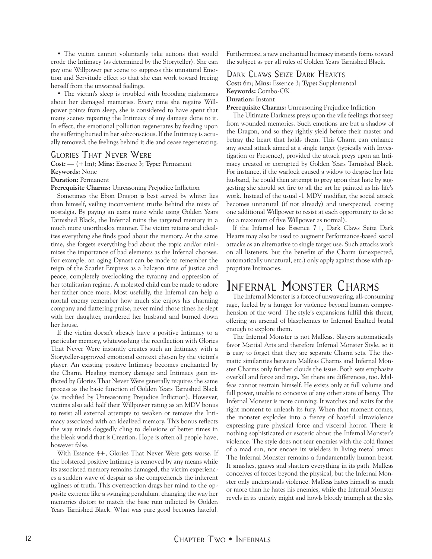<span id="page-11-0"></span>• The victim cannot voluntarily take actions that would erode the Intimacy (as determined by the Storyteller). She can pay one Willpower per scene to suppress this unnatural Emotion and Servitude effect so that she can work toward freeing herself from the unwanted feelings.

• The victim's sleep is troubled with brooding nightmares about her damaged memories. Every time she regains Willpower points from sleep, she is considered to have spent that many scenes repairing the Intimacy of any damage done to it. In effect, the emotional pollution regenerates by feeding upon the suffering buried in her subconscious. If the Intimacy is actually removed, the feelings behind it die and cease regenerating.

#### Glories That Never Were

**Cost:** — (+1m); **Mins:** Essence 3; **Type:** Permanent

#### **Keywords:** None

**Duration:** Permanent

**Prerequisite Charms:** Unreasoning Prejudice Infliction

Sometimes the Ebon Dragon is best served by whiter lies than himself, veiling inconvenient truths behind the mists of nostalgia. By paying an extra mote while using Golden Years Tarnished Black, the Infernal ruins the targeted memory in a much more unorthodox manner. The victim retains and idealizes everything she finds good about the memory. At the same time, she forgets everything bad about the topic and/or minimizes the importance of bad elements as the Infernal chooses. For example, an aging Dynast can be made to remember the reign of the Scarlet Empress as a halcyon time of justice and peace, completely overlooking the tyranny and oppression of her totalitarian regime. A molested child can be made to adore her father once more. Most usefully, the Infernal can help a mortal enemy remember how much she enjoys his charming company and flattering praise, never mind those times he slept with her daughter, murdered her husband and burned down her house.

If the victim doesn't already have a positive Intimacy to a particular memory, whitewashing the recollection with Glories That Never Were instantly creates such an Intimacy with a Storyteller-approved emotional context chosen by the victim's player. An existing positive Intimacy becomes enchanted by the Charm. Healing memory damage and Intimacy gain inflicted by Glories That Never Were generally requires the same process as the basic function of Golden Years Tarnished Black (as modified by Unreasoning Prejudice Infliction). However, victims also add half their Willpower rating as an MDV bonus to resist all external attempts to weaken or remove the Intimacy associated with an idealized memory. This bonus reflects the way minds doggedly cling to delusions of better times in the bleak world that is Creation. Hope is often all people have, however false.

With Essence 4+, Glories That Never Were gets worse. If the bolstered positive Intimacy is removed by any means while its associated memory remains damaged, the victim experiences a sudden wave of despair as she comprehends the inherent ugliness of truth. This overreaction drags her mind to the opposite extreme like a swinging pendulum, changing the way her memories distort to match the base ruin inflicted by Golden Years Tarnished Black. What was pure good becomes hateful.

Furthermore, a new enchanted Intimacy instantly forms toward the subject as per all rules of Golden Years Tarnished Black.

### Dark Claws Seize Dark Hearts

**Cost:** 6m; **Mins:** Essence 3; **Type:** Supplemental **Keywords:** Combo-OK

**Duration:** Instant

**Prerequisite Charms:** Unreasoning Prejudice Infliction

The Ultimate Darkness preys upon the vile feelings that seep from wounded memories. Such emotions are but a shadow of the Dragon, and so they rightly yield before their master and betray the heart that holds them. This Charm can enhance any social attack aimed at a single target (typically with Investigation or Presence), provided the attack preys upon an Intimacy created or corrupted by Golden Years Tarnished Black. For instance, if the warlock caused a widow to despise her late husband, he could then attempt to prey upon that hate by suggesting she should set fire to all the art he painted as his life's work. Instead of the usual -1 MDV modifier, the social attack becomes unnatural (if not already) and unexpected, costing one additional Willpower to resist at each opportunity to do so (to a maximum of five Willpower as normal).

If the Infernal has Essence 7+, Dark Claws Seize Dark Hearts may also be used to augment Performance-based social attacks as an alternative to single target use. Such attacks work on all listeners, but the benefits of the Charm (unexpected, automatically unnatural, etc.) only apply against those with appropriate Intimacies.

# Infernal Monster Charms

The Infernal Monster is a force of unwavering, all-consuming rage, fueled by a hunger for violence beyond human comprehension of the word. The style's expansions fulfill this threat, offering an arsenal of blasphemies to Infernal Exalted brutal enough to explore them.

The Infernal Monster is not Malfeas. Slayers automatically favor Martial Arts and therefore Infernal Monster Style, so it is easy to forget that they are separate Charm sets. The thematic similarities between Malfeas Charms and Infernal Monster Charms only further clouds the issue. Both sets emphasize overkill and force and rage. Yet there are differences, too. Malfeas cannot restrain himself. He exists only at full volume and full power, unable to conceive of any other state of being. The Infernal Monster is more cunning. It watches and waits for the right moment to unleash its fury. When that moment comes, the monster explodes into a frenzy of hateful ultraviolence expressing pure physical force and visceral horror. There is nothing sophisticated or esoteric about the Infernal Monster's violence. The style does not sear enemies with the cold flames of a mad sun, nor encase its wielders in living metal armor. The Infernal Monster remains a fundamentally human beast. It smashes, gnaws and shatters everything in its path. Malfeas conceives of forces beyond the physical, but the Infernal Monster only understands violence. Malfeas hates himself as much or more than he hates his enemies, while the Infernal Monster revels in its unholy might and howls bloody triumph at the sky.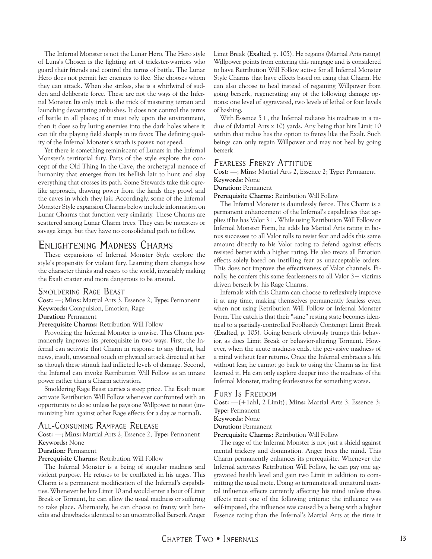<span id="page-12-0"></span>The Infernal Monster is not the Lunar Hero. The Hero style of Luna's Chosen is the fighting art of trickster-warriors who guard their friends and control the terms of battle. The Lunar Hero does not permit her enemies to flee. She chooses whom they can attack. When she strikes, she is a whirlwind of sudden and deliberate force. These are not the ways of the Infernal Monster. Its only trick is the trick of mastering terrain and launching devastating ambushes. It does not control the terms of battle in all places; if it must rely upon the environment, then it does so by luring enemies into the dark holes where it can tilt the playing field sharply in its favor. The defining quality of the Infernal Monster's wrath is power, not speed.

Yet there is something reminiscent of Lunars in the Infernal Monster's territorial fury. Parts of the style explore the concept of the Old Thing In the Cave, the archetypal menace of humanity that emerges from its hellish lair to hunt and slay everything that crosses its path. Some Stewards take this ogrelike approach, drawing power from the lands they prowl and the caves in which they lair. Accordingly, some of the Infernal Monster Style expansion Charms below include information on Lunar Charms that function very similarly. These Charms are scattered among Lunar Charm trees. They can be monsters or savage kings, but they have no consolidated path to follow.

### Enlightening Madness Charms

These expansions of Infernal Monster Style explore the style's propensity for violent fury. Learning them changes how the character thinks and reacts to the world, invariably making the Exalt crazier and more dangerous to be around.

#### Smoldering Rage Beast

**Cost:** —; **Mins:** Martial Arts 3, Essence 2; **Type:** Permanent **Keywords:** Compulsion, Emotion, Rage

#### **Duration:** Permanent

**Prerequisite Charms:** Retribution Will Follow

Provoking the Infernal Monster is unwise. This Charm permanently improves its prerequisite in two ways. First, the Infernal can activate that Charm in response to any threat, bad news, insult, unwanted touch or physical attack directed at her as though these stimuli had inflicted levels of damage. Second, the Infernal can invoke Retribution Will Follow as an innate power rather than a Charm activation.

Smoldering Rage Beast carries a steep price. The Exalt must activate Retribution Will Follow whenever confronted with an opportunity to do so unless he pays one Willpower to resist (immunizing him against other Rage effects for a day as normal).

#### All-Consuming Rampage Release

**Cost:** —; **Mins:** Martial Arts 2, Essence 2; **Type:** Permanent **Keywords:** None

#### **Duration:** Permanent

**Prerequisite Charms:** Retribution Will Follow

The Infernal Monster is a being of singular madness and violent purpose. He refuses to be conflicted in his urges. This Charm is a permanent modification of the Infernal's capabilities. Whenever he hits Limit 10 and would enter a bout of Limit Break or Torment, he can allow the usual madness or suffering to take place. Alternately, he can choose to frenzy with benefits and drawbacks identical to an uncontrolled Berserk Anger

Limit Break (**Exalted**, p. 105). He regains (Martial Arts rating) Willpower points from entering this rampage and is considered to have Retribution Will Follow active for all Infernal Monster Style Charms that have effects based on using that Charm. He can also choose to heal instead of regaining Willpower from going berserk, regenerating any of the following damage options: one level of aggravated, two levels of lethal or four levels of bashing.

With Essence 5+, the Infernal radiates his madness in a radius of (Martial Arts x 10) yards. Any being that hits Limit 10 within that radius has the option to frenzy like the Exalt. Such beings can only regain Willpower and may not heal by going berserk.

#### FEARLESS FRENZY ATTITUDE

**Cost:** —; **Mins:** Martial Arts 2, Essence 2; **Type:** Permanent **Keywords:** None

#### **Duration:** Permanent

**Prerequisite Charms:** Retribution Will Follow

The Infernal Monster is dauntlessly fierce. This Charm is a permanent enhancement of the Infernal's capabilities that applies if he has Valor 3+. While using Retribution Will Follow or Infernal Monster Form, he adds his Martial Arts rating in bonus successes to all Valor rolls to resist fear and adds this same amount directly to his Valor rating to defend against effects resisted better with a higher rating. He also treats all Emotion effects solely based on instilling fear as unacceptable orders. This does not improve the effectiveness of Valor channels. Finally, he confers this same fearlessness to all Valor 3+ victims driven berserk by his Rage Charms.

Infernals with this Charm can choose to reflexively improve it at any time, making themselves permanently fearless even when not using Retribution Will Follow or Infernal Monster Form. The catch is that their "sane" resting state becomes identical to a partially-controlled Foolhardy Contempt Limit Break (**Exalted**, p. 105). Going berserk obviously trumps this behavior, as does Limit Break or behavior-altering Torment. However, when the acute madness ends, the pervasive madness of a mind without fear returns. Once the Infernal embraces a life without fear, he cannot go back to using the Charm as he first learned it. He can only explore deeper into the madness of the Infernal Monster, trading fearlessness for something worse.

#### Fury Is Freedom

**Cost:** —(+1ahl, 2 Limit); **Mins:** Martial Arts 3, Essence 3; **Type:** Permanent

**Keywords:** None

**Duration:** Permanent

**Prerequisite Charms:** Retribution Will Follow

The rage of the Infernal Monster is not just a shield against mental trickery and domination. Anger frees the mind. This Charm permanently enhances its prerequisite. Whenever the Infernal activates Retribution Will Follow, he can pay one aggravated health level and gain two Limit in addition to committing the usual mote. Doing so terminates all unnatural mental influence effects currently affecting his mind unless these effects meet one of the following criteria: the influence was self-imposed, the influence was caused by a being with a higher Essence rating than the Infernal's Martial Arts at the time it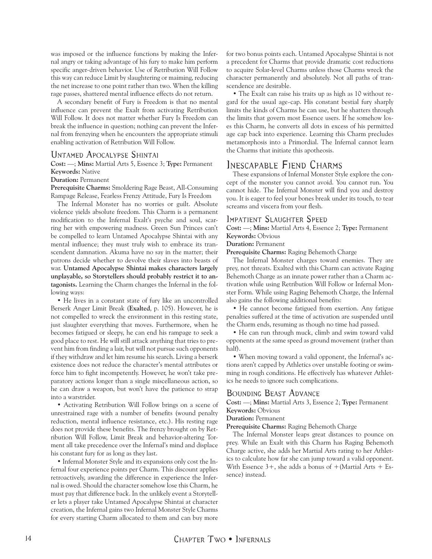<span id="page-13-0"></span>was imposed or the influence functions by making the Infernal angry or taking advantage of his fury to make him perform specific anger-driven behavior. Use of Retribution Will Follow this way can reduce Limit by slaughtering or maiming, reducing the net increase to one point rather than two. When the killing rage passes, shattered mental influence effects do not return.

A secondary benefit of Fury is Freedom is that no mental influence can prevent the Exalt from activating Retribution Will Follow. It does not matter whether Fury Is Freedom can break the influence in question; nothing can prevent the Infernal from frenzying when he encounters the appropriate stimuli enabling activation of Retribution Will Follow.

#### Untamed Apocalypse Shintai

**Cost:** —; **Mins:** Martial Arts 5, Essence 3; **Type:** Permanent **Keywords:** Native

#### **Duration:** Permanent

**Prerequisite Charms:** Smoldering Rage Beast, All-Consuming Rampage Release, Fearless Frenzy Attitude, Fury Is Freedom

The Infernal Monster has no worries or guilt. Absolute violence yields absolute freedom. This Charm is a permanent modification to the Infernal Exalt's psyche and soul, scarring her with empowering madness. Green Sun Princes can't be compelled to learn Untamed Apocalypse Shintai with any mental influence; they must truly wish to embrace its transcendent damnation. Akuma have no say in the matter; their patrons decide whether to devolve their slaves into beasts of war. **Untamed Apocalypse Shintai makes characters largely unplayable, so Storytellers should probably restrict it to antagonists.** Learning the Charm changes the Infernal in the following ways:

• He lives in a constant state of fury like an uncontrolled Berserk Anger Limit Break (**Exalted**, p. 105). However, he is not compelled to wreck the environment in this resting state, just slaughter everything that moves. Furthermore, when he becomes fatigued or sleepy, he can end his rampage to seek a good place to rest. He will still attack anything that tries to prevent him from finding a lair, but will not pursue such opponents if they withdraw and let him resume his search. Living a berserk existence does not reduce the character's mental attributes or force him to fight incompetently. However, he won't take preparatory actions longer than a single miscellaneous action, so he can draw a weapon, but won't have the patience to strap into a warstrider.

• Activating Retribution Will Follow brings on a scene of unrestrained rage with a number of benefits (wound penalty reduction, mental influence resistance, etc.). His resting rage does not provide these benefits. The frenzy brought on by Retribution Will Follow, Limit Break and behavior-altering Torment all take precedence over the Infernal's mind and displace his constant fury for as long as they last.

• Infernal Monster Style and its expansions only cost the Infernal four experience points per Charm. This discount applies retroactively, awarding the difference in experience the Infernal is owed. Should the character somehow lose this Charm, he must pay that difference back. In the unlikely event a Storyteller lets a player take Untamed Apocalypse Shintai at character creation, the Infernal gains two Infernal Monster Style Charms for every starting Charm allocated to them and can buy more

for two bonus points each. Untamed Apocalypse Shintai is not a precedent for Charms that provide dramatic cost reductions to acquire Solar-level Charms unless those Charms wreck the character permanently and absolutely. Not all paths of transcendence are desirable.

• The Exalt can raise his traits up as high as 10 without regard for the usual age-cap. His constant bestial fury sharply limits the kinds of Charms he can use, but he shatters through the limits that govern most Essence users. If he somehow loses this Charm, he converts all dots in excess of his permitted age cap back into experience. Learning this Charm precludes metamorphosis into a Primordial. The Infernal cannot learn the Charms that initiate this apotheosis.

## Inescapable Fiend Charms

These expansions of Infernal Monster Style explore the concept of the monster you cannot avoid. You cannot run. You cannot hide. The Infernal Monster will find you and destroy you. It is eager to feel your bones break under its touch, to tear screams and viscera from your flesh.

#### Impatient Slaughter Speed

**Cost:** —; **Mins:** Martial Arts 4, Essence 2; **Type:** Permanent

#### **Keywords:** Obvious **Duration:** Permanent

**Prerequisite Charms:** Raging Behemoth Charge

The Infernal Monster charges toward enemies. They are prey, not threats. Exalted with this Charm can activate Raging Behemoth Charge as an innate power rather than a Charm activation while using Retribution Will Follow or Infernal Monster Form. While using Raging Behemoth Charge, the Infernal also gains the following additional benefits:

• He cannot become fatigued from exertion. Any fatigue penalties suffered at the time of activation are suspended until the Charm ends, resuming as though no time had passed.

• He can run through muck, climb and swim toward valid opponents at the same speed as ground movement (rather than half).

• When moving toward a valid opponent, the Infernal's actions aren't capped by Athletics over unstable footing or swimming in rough conditions. He effectively has whatever Athletics he needs to ignore such complications.

### Bounding Beast Advance

**Cost:** —; **Mins:** Martial Arts 3, Essence 2; **Type:** Permanent **Keywords:** Obvious

**Duration:** Permanent

**Prerequisite Charms:** Raging Behemoth Charge

The Infernal Monster leaps great distances to pounce on prey. While an Exalt with this Charm has Raging Behemoth Charge active, she adds her Martial Arts rating to her Athletics to calculate how far she can jump toward a valid opponent. With Essence  $3+$ , she adds a bonus of  $+(Martial Arts + Es$ sence) instead.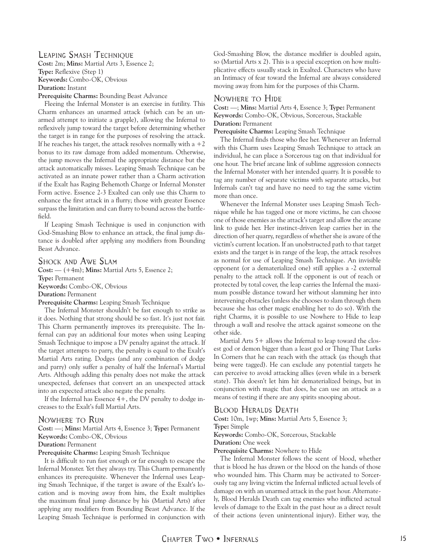#### Leaping Smash Technique

**Cost:** 2m; **Mins:** Martial Arts 3, Essence 2; **Type:** Reflexive (Step 1) **Keywords:** Combo-OK, Obvious **Duration:** Instant

**Prerequisite Charms:** Bounding Beast Advance

Fleeing the Infernal Monster is an exercise in futility. This Charm enhances an unarmed attack (which can be an unarmed attempt to initiate a grapple), allowing the Infernal to reflexively jump toward the target before determining whether the target is in range for the purposes of resolving the attack. If he reaches his target, the attack resolves normally with a  $+2$ bonus to its raw damage from added momentum. Otherwise, the jump moves the Infernal the appropriate distance but the attack automatically misses. Leaping Smash Technique can be activated as an innate power rather than a Charm activation if the Exalt has Raging Behemoth Charge or Infernal Monster Form active. Essence 2-3 Exalted can only use this Charm to enhance the first attack in a flurry; those with greater Essence surpass the limitation and can flurry to bound across the battlefield.

If Leaping Smash Technique is used in conjunction with God-Smashing Blow to enhance an attack, the final jump distance is doubled after applying any modifiers from Bounding Beast Advance.

#### Shock and Awe Slam

**Cost:** — (+4m); **Mins:** Martial Arts 5, Essence 2; **Type:** Permanent **Keywords:** Combo-OK, Obvious **Duration:** Permanent **Prerequisite Charms:** Leaping Smash Technique

The Infernal Monster shouldn't be fast enough to strike as it does. Nothing that strong should be so fast. It's just not fair. This Charm permanently improves its prerequisite. The Infernal can pay an additional four motes when using Leaping Smash Technique to impose a DV penalty against the attack. If the target attempts to parry, the penalty is equal to the Exalt's Martial Arts rating. Dodges (and any combination of dodge and parry) only suffer a penalty of half the Infernal's Martial Arts. Although adding this penalty does not make the attack unexpected, defenses that convert an an unexpected attack into an expected attack also negate the penalty.

If the Infernal has Essence  $4+$ , the DV penalty to dodge increases to the Exalt's full Martial Arts.

#### Nowhere to Run

**Cost:** —; **Mins:** Martial Arts 4, Essence 3; **Type:** Permanent

**Keywords:** Combo-OK, Obvious

#### **Duration:** Permanent

**Prerequisite Charms:** Leaping Smash Technique

It is difficult to run fast enough or far enough to escape the Infernal Monster. Yet they always try. This Charm permanently enhances its prerequisite. Whenever the Infernal uses Leaping Smash Technique, if the target is aware of the Exalt's location and is moving away from him, the Exalt multiplies the maximum final jump distance by his (Martial Arts) after applying any modifiers from Bounding Beast Advance. If the Leaping Smash Technique is performed in conjunction with God-Smashing Blow, the distance modifier is doubled again, so (Martial Arts x 2). This is a special exception on how multiplicative effects usually stack in Exalted. Characters who have an Intimacy of fear toward the Infernal are always considered moving away from him for the purposes of this Charm.

#### Nowhere to Hide

**Cost:** —; **Mins:** Martial Arts 4, Essence 3; **Type:** Permanent **Keywords:** Combo-OK, Obvious, Sorcerous, Stackable **Duration:** Permanent

**Prerequisite Charms:** Leaping Smash Technique

The Infernal finds those who flee her. Whenever an Infernal with this Charm uses Leaping Smash Technique to attack an individual, he can place a Sorcerous tag on that individual for one hour. The brief arcane link of sublime aggression connects the Infernal Monster with her intended quarry. It is possible to tag any number of separate victims with separate attacks, but Infernals can't tag and have no need to tag the same victim more than once.

Whenever the Infernal Monster uses Leaping Smash Technique while he has tagged one or more victims, he can choose one of those enemies as the attack's target and allow the arcane link to guide her. Her instinct-driven leap carries her in the direction of her quarry, regardless of whether she is aware of the victim's current location. If an unobstructed path to that target exists and the target is in range of the leap, the attack resolves as normal for use of Leaping Smash Technique. An invisible opponent (or a dematerialized one) still applies a -2 external penalty to the attack roll. If the opponent is out of reach or protected by total cover, the leap carries the Infernal the maximum possible distance toward her without slamming her into intervening obstacles (unless she chooses to slam through them because she has other magic enabling her to do so). With the right Charms, it is possible to use Nowhere to Hide to leap through a wall and resolve the attack against someone on the other side.

Martial Arts 5+ allows the Infernal to leap toward the closest god or demon bigger than a least god or Thing That Lurks In Corners that he can reach with the attack (as though that being were tagged). He can exclude any potential targets he can perceive to avoid attacking allies (even while in a berserk state). This doesn't let him hit dematerialized beings, but in conjunction with magic that does, he can use an attack as a means of testing if there are any spirits snooping about.

#### Blood Heralds Death

**Cost:** 10m, 1wp; **Mins:** Martial Arts 5, Essence 3; **Type:** Simple

**Keywords:** Combo-OK, Sorcerous, Stackable

**Duration:** One week

**Prerequisite Charms:** Nowhere to Hide

The Infernal Monster follows the scent of blood, whether that is blood he has drawn or the blood on the hands of those who wounded him. This Charm may be activated to Sorcerously tag any living victim the Infernal inflicted actual levels of damage on with an unarmed attack in the past hour. Alternately, Blood Heralds Death can tag enemies who inflicted actual levels of damage to the Exalt in the past hour as a direct result of their actions (even unintentional injury). Either way, the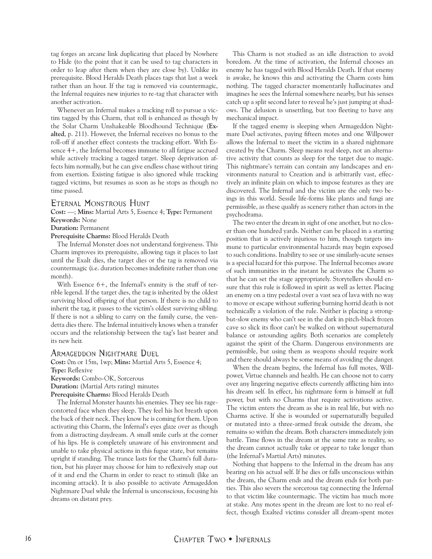tag forges an arcane link duplicating that placed by Nowhere to Hide (to the point that it can be used to tag characters in order to leap after them when they are close by). Unlike its prerequisite. Blood Heralds Death places tags that last a week rather than an hour. If the tag is removed via countermagic, the Infernal requires new injuries to re-tag that character with another activation.

Whenever an Infernal makes a tracking roll to pursue a victim tagged by this Charm, that roll is enhanced as though by the Solar Charm Unshakeable Bloodhound Technique (**Exalted**, p. 211). However, the Infernal receives no bonus to the roll-off if another effect contests the tracking effort. With Essence 4+, the Infernal becomes immune to all fatigue accrued while actively tracking a tagged target. Sleep deprivation affects him normally, but he can give endless chase without tiring from exertion. Existing fatigue is also ignored while tracking tagged victims, but resumes as soon as he stops as though no time passed.

#### Eternal Monstrous Hunt

**Cost:** —; **Mins:** Martial Arts 5, Essence 4; **Type:** Permanent **Keywords:** None

#### **Duration:** Permanent

**Prerequisite Charms:** Blood Heralds Death

The Infernal Monster does not understand forgiveness. This Charm improves its prerequisite, allowing tags it places to last until the Exalt dies, the target dies or the tag is removed via countermagic (i.e. duration becomes indefinite rather than one month).

With Essence  $6+$ , the Infernal's enmity is the stuff of terrible legend. If the target dies, the tag is inherited by the oldest surviving blood offspring of that person. If there is no child to inherit the tag, it passes to the victim's oldest surviving sibling. If there is not a sibling to carry on the family curse, the vendetta dies there. The Infernal intuitively knows when a transfer occurs and the relationship between the tag's last bearer and its new heir.

#### Armageddon Nightmare Duel

**Cost:** 0m or 15m, 1wp; **Mins:** Martial Arts 5, Essence 4; **Type:** Reflexive **Keywords:** Combo-OK, Sorcerous

**Duration:** (Martial Arts rating) minutes

**Prerequisite Charms:** Blood Heralds Death

The Infernal Monster haunts his enemies. They see his ragecontorted face when they sleep. They feel his hot breath upon the back of their neck. They know he is coming for them. Upon activating this Charm, the Infernal's eyes glaze over as though from a distracting daydream. A small smile curls at the corner of his lips. He is completely unaware of his environment and unable to take physical actions in this fugue state, but remains upright if standing. The trance lasts for the Charm's full duration, but his player may choose for him to reflexively snap out of it and end the Charm in order to react to stimuli (like an incoming attack). It is also possible to activate Armageddon Nightmare Duel while the Infernal is unconscious, focusing his dreams on distant prey.

This Charm is not studied as an idle distraction to avoid boredom. At the time of activation, the Infernal chooses an enemy he has tagged with Blood Heralds Death. If that enemy is awake, he knows this and activating the Charm costs him nothing. The tagged character momentarily hallucinates and imagines he sees the Infernal somewhere nearby, but his senses catch up a split second later to reveal he's just jumping at shadows. The delusion is unsettling, but too fleeting to have any mechanical impact.

If the tagged enemy is sleeping when Armageddon Nightmare Duel activates, paying fifteen motes and one Willpower allows the Infernal to meet the victim in a shared nightmare created by the Charm. Sleep means real sleep, not an alternative activity that counts as sleep for the target due to magic. This nightmare's terrain can contain any landscapes and environments natural to Creation and is arbitrarily vast, effectively an infinite plain on which to impose features as they are discovered. The Infernal and the victim are the only two beings in this world. Sessile life-forms like plants and fungi are permissible, as these qualify as scenery rather than actors in the psychodrama.

The two enter the dream in sight of one another, but no closer than one hundred yards. Neither can be placed in a starting position that is actively injurious to him, though targets immune to particular environmental hazards may begin exposed to such conditions. Inability to see or use similarly-acute senses is a special hazard for this purpose. The Infernal becomes aware of such immunities in the instant he activates the Charm so that he can set the stage appropriately. Storytellers should ensure that this rule is followed in spirit as well as letter. Placing an enemy on a tiny pedestal over a vast sea of lava with no way to move or escape without suffering burning horrid death is not technically a violation of the rule. Neither is placing a strongbut-slow enemy who can't see in the dark in pitch-black frozen cave so slick its floor can't be walked on without supernatural balance or astounding agility. Both scenarios are completely against the spirit of the Charm. Dangerous environments are permissible, but using them as weapons should require work and there should always be some means of avoiding the danger.

When the dream begins, the Infernal has full motes, Willpower, Virtue channels and health. He can choose not to carry over any lingering negative effects currently afflicting him into his dream self. In effect, his nightmare form is himself at full power, but with no Charms that require activations active. The victim enters the dream as she is in real life, but with no Charms active. If she is wounded or supernaturally beguiled or mutated into a three-armed freak outside the dream, she remains so within the dream. Both characters immediately join battle. Time flows in the dream at the same rate as reality, so the dream cannot actually take or appear to take longer than (the Infernal's Martial Arts) minutes.

Nothing that happens to the Infernal in the dream has any bearing on his actual self. If he dies or falls unconscious within the dream, the Charm ends and the dream ends for both parties. This also severs the sorcerous tag connecting the Infernal to that victim like countermagic. The victim has much more at stake. Any motes spent in the dream are lost to no real effect, though Exalted victims consider all dream-spent motes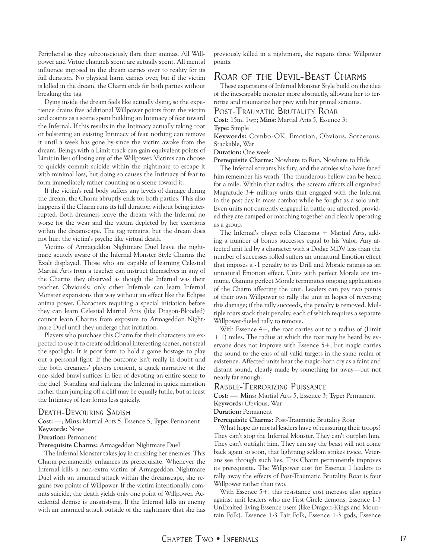<span id="page-16-0"></span>Peripheral as they subconsciously flare their animas. All Willpower and Virtue channels spent are actually spent. All mental influence imposed in the dream carries over to reality for its full duration. No physical harm carries over, but if the victim is killed in the dream, the Charm ends for both parties without breaking the tag.

Dying inside the dream feels like actually dying, so the experience drains five additional Willpower points from the victim and counts as a scene spent building an Intimacy of fear toward the Infernal. If this results in the Intimacy actually taking root or bolstering an existing Intimacy of fear, nothing can remove it until a week has gone by since the victim awoke from the dream. Beings with a Limit track can gain equivalent points of Limit in lieu of losing any of the Willpower. Victims can choose to quickly commit suicide within the nightmare to escape it with minimal loss, but doing so causes the Intimacy of fear to form immediately rather counting as a scene toward it.

If the victim's real body suffers any levels of damage during the dream, the Charm abruptly ends for both parties. This also happens if the Charm runs its full duration without being interrupted. Both dreamers leave the dream with the Infernal no worse for the wear and the victim depleted by her exertions within the dreamscape. The tag remains, but the dream does not hurt the victim's psyche like virtual death.

Victims of Armageddon Nightmare Duel leave the nightmare acutely aware of the Infernal Monster Style Charms the Exalt displayed. Those who are capable of learning Celestial Martial Arts from a teacher can instruct themselves in any of the Charms they observed as though the Infernal was their teacher. Obviously, only other Infernals can learn Infernal Monster expansions this way without an effect like the Eclipse anima power. Characters requiring a special initiation before they can learn Celestial Martial Arts (like Dragon-Blooded) cannot learn Charms from exposure to Armageddon Nightmare Duel until they undergo that initiation.

Players who purchase this Charm for their characters are expected to use it to create additional interesting scenes, not steal the spotlight. It is poor form to hold a game hostage to play out a personal fight. If the outcome isn't really in doubt and the both dreamers' players consent, a quick narrative of the one-sided brawl suffices in lieu of devoting an entire scene to the duel. Standing and fighting the Infernal in quick narration rather than jumping off a cliff may be equally futile, but at least the Intimacy of fear forms less quickly.

#### Death-Devouring Sadism

**Cost:** —; **Mins:** Martial Arts 5, Essence 5; **Type:** Permanent **Keywords:** None

#### **Duration:** Permanent

**Prerequisite Charms:** Armageddon Nightmare Duel

The Infernal Monster takes joy in crushing her enemies. This Charm permanently enhances its prerequisite. Whenever the Infernal kills a non-extra victim of Armageddon Nightmare Duel with an unarmed attack within the dreamscape, she regains two points of Willpower. If the victim intentionally commits suicide, the death yields only one point of Willpower. Accidental demise is unsatisfying. If the Infernal kills an enemy with an unarmed attack outside of the nightmare that she has

previously killed in a nightmare, she regains three Willpower points.

## Roar of the Devil-Beast Charms

These expansions of Infernal Monster Style build on the idea of the inescapable monster more abstractly, allowing her to terrorize and traumatize her prey with her primal screams.

#### POST-TRAUMATIC BRUTALITY ROAR

**Cost:** 15m, 1wp; **Mins:** Martial Arts 5, Essence 3;

**Type:** Simple

**Keywords:** Combo-OK, Emotion, Obvious, Sorcerous, Stackable, War

**Duration:** One week

**Prerequisite Charms:** Nowhere to Run, Nowhere to Hide

The Infernal screams his fury, and the armies who have faced him remember his wrath. The thunderous bellow can be heard for a mile. Within that radius, the scream affects all organized Magnitude 3+ military units that engaged with the Infernal in the past day in mass combat while he fought as a solo unit. Even units not currently engaged in battle are affected, provided they are camped or marching together and clearly operating as a group.

The Infernal's player rolls Charisma  $+$  Martial Arts, adding a number of bonus successes equal to his Valor. Any affected unit led by a character with a Dodge MDV less than the number of successes rolled suffers an unnatural Emotion effect that imposes a -1 penalty to its Drill and Morale ratings as an unnatural Emotion effect. Units with perfect Morale are immune. Gaining perfect Morale terminates ongoing applications of the Charm affecting the unit. Leaders can pay two points of their own Willpower to rally the unit in hopes of reversing this damage; if the rally succeeds, the penalty is removed. Multiple roars stack their penalty, each of which requires a separate Willpower-fueled rally to remove.

With Essence 4+, the roar carries out to a radius of (Limit + 1) miles. The radius at which the roar may be heard by everyone does not improve with Essence 5+, but magic carries the sound to the ears of all valid targets in the same realm of existence. Affected units hear the magic-born cry as a faint and distant sound, clearly made by something far away—but not nearly far enough.

Rabble-Terrorizing Puissance

**Cost:** —; **Mins:** Martial Arts 5, Essence 3; **Type:** Permanent **Keywords:** Obvious, War

**Duration:** Permanent

**Prerequisite Charms:** Post-Traumatic Brutality Roar

What hope do mortal leaders have of reassuring their troops? They can't stop the Infernal Monster. They can't outplan him. They can't outfight him. They can say the beast will not come back again so soon, that lightning seldom strikes twice. Veterans see through such lies. This Charm permanently improves its prerequisite. The Willpower cost for Essence 1 leaders to rally away the effects of Post-Traumatic Brutality Roar is four Willpower rather than two.

With Essence 5+, this resistance cost increase also applies against unit leaders who are First Circle demons, Essence 1-3 UnExalted living Essence users (like Dragon-Kings and Mountain Folk), Essence 1-3 Fair Folk, Essence 1-3 gods, Essence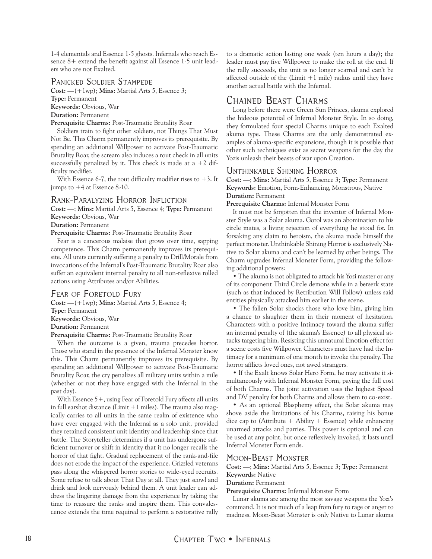<span id="page-17-0"></span>1-4 elementals and Essence 1-5 ghosts. Infernals who reach Essence 8+ extend the benefit against all Essence 1-5 unit leaders who are not Exalted.

#### Panicked Soldier Stampede

**Cost:** —(+1wp); **Mins:** Martial Arts 5, Essence 3;

**Type:** Permanent

**Keywords:** Obvious, War

**Duration:** Permanent

**Prerequisite Charms:** Post-Traumatic Brutality Roar

Soldiers train to fight other soldiers, not Things That Must Not Be. This Charm permanently improves its prerequisite. By spending an additional Willpower to activate Post-Traumatic Brutality Roar, the scream also induces a rout check in all units successfully penalized by it. This check is made at a  $+2$  difficulty modifier.

With Essence 6-7, the rout difficulty modifier rises to  $+3$ . It jumps to +4 at Essence 8-10.

#### Rank-Paralyzing Horror Infliction

**Cost:** —; **Mins:** Martial Arts 5, Essence 4; **Type:** Permanent **Keywords:** Obvious, War

**Duration:** Permanent

**Prerequisite Charms:** Post-Traumatic Brutality Roar

Fear is a cancerous malaise that grows over time, sapping competence. This Charm permanently improves its prerequisite. All units currently suffering a penalty to Drill/Morale from invocations of the Infernal's Post-Traumatic Brutality Roar also suffer an equivalent internal penalty to all non-reflexive rolled actions using Attributes and/or Abilities.

#### Fear of Foretold Fury

**Cost:** —(+1wp); **Mins:** Martial Arts 5, Essence 4; **Type:** Permanent **Keywords:** Obvious, War **Duration:** Permanent **Prerequisite Charms:** Post-Traumatic Brutality Roar

When the outcome is a given, trauma precedes horror. Those who stand in the presence of the Infernal Monster know this. This Charm permanently improves its prerequisite. By spending an additional Willpower to activate Post-Traumatic Brutality Roar, the cry penalizes all military units within a mile (whether or not they have engaged with the Infernal in the past day).

With Essence 5+, using Fear of Foretold Fury affects all units in full earshot distance (Limit  $+1$  miles). The trauma also magically carries to all units in the same realm of existence who have ever engaged with the Infernal as a solo unit, provided they retained consistent unit identity and leadership since that battle. The Storyteller determines if a unit has undergone sufficient turnover or shift in identity that it no longer recalls the horror of that fight. Gradual replacement of the rank-and-file does not erode the impact of the experience. Grizzled veterans pass along the whispered horror stories to wide-eyed recruits. Some refuse to talk about That Day at all. They just scowl and drink and look nervously behind them. A unit leader can address the lingering damage from the experience by taking the time to reassure the ranks and inspire them. This convalescence extends the time required to perform a restorative rally

to a dramatic action lasting one week (ten hours a day); the leader must pay five Willpower to make the roll at the end. If the rally succeeds, the unit is no longer scarred and can't be affected outside of the (Limit  $+1$  mile) radius until they have another actual battle with the Infernal.

# Chained Beast Charms

Long before there were Green Sun Princes, akuma explored the hideous potential of Infernal Monster Style. In so doing, they formulated four special Charms unique to each Exalted akuma type. These Charms are the only demonstrated examples of akuma-specific expansions, though it is possible that other such techniques exist as secret weapons for the day the Yozis unleash their beasts of war upon Creation.

### Unthinkable Shining Horror

**Cost:** —; **Mins:** Martial Arts 5, Essence 3; **Type:** Permanent **Keywords:** Emotion, Form-Enhancing, Monstrous, Native **Duration:** Permanent

**Prerequisite Charms:** Infernal Monster Form

It must not be forgotten that the inventor of Infernal Monster Style was a Solar akuma. Gorol was an abomination to his circle mates, a living rejection of everything he stood for. In forsaking any claim to heroism, the akuma made himself the perfect monster. Unthinkable Shining Horror is exclusively Native to Solar akuma and can't be learned by other beings. The Charm upgrades Infernal Monster Form, providing the following additional powers:

• The akuma is not obligated to attack his Yozi master or any of its component Third Circle demons while in a berserk state (such as that induced by Retribution Will Follow) unless said entities physically attacked him earlier in the scene.

• The fallen Solar shocks those who love him, giving him a chance to slaughter them in their moment of hesitation. Characters with a positive Intimacy toward the akuma suffer an internal penalty of (the akuma's Essence) to all physical attacks targeting him. Resisting this unnatural Emotion effect for a scene costs five Willpower. Characters must have had the Intimacy for a minimum of one month to invoke the penalty. The horror afflicts loved ones, not awed strangers.

• If the Exalt knows Solar Hero Form, he may activate it simultaneously with Infernal Monster Form, paying the full cost of both Charms. The joint activation uses the highest Speed and DV penalty for both Charms and allows them to co-exist.

• As an optional Blasphemy effect, the Solar akuma may shove aside the limitations of his Charms, raising his bonus dice cap to (Attribute  $+$  Ability  $+$  Essence) while enhancing unarmed attacks and parries. This power is optional and can be used at any point, but once reflexively invoked, it lasts until Infernal Monster Form ends.

#### Moon-Beast Monster

**Cost:** —; **Mins:** Martial Arts 5, Essence 3; **Type:** Permanent **Keywords:** Native

**Duration:** Permanent

**Prerequisite Charms:** Infernal Monster Form

Lunar akuma are among the most savage weapons the Yozi's command. It is not much of a leap from fury to rage or anger to madness. Moon-Beast Monster is only Native to Lunar akuma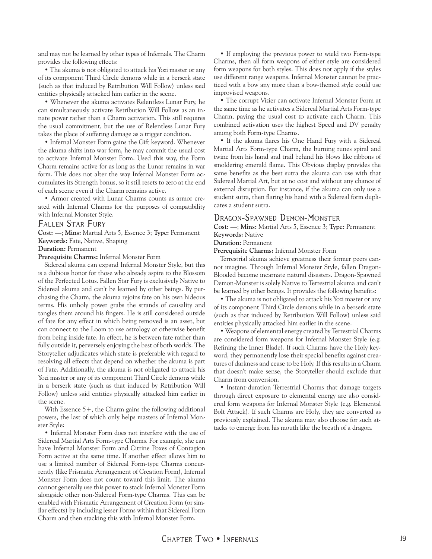and may not be learned by other types of Infernals. The Charm provides the following effects:

• The akuma is not obligated to attack his Yozi master or any of its component Third Circle demons while in a berserk state (such as that induced by Retribution Will Follow) unless said entities physically attacked him earlier in the scene.

• Whenever the akuma activates Relentless Lunar Fury, he can simultaneously activate Retribution Will Follow as an innate power rather than a Charm activation. This still requires the usual commitment, but the use of Relentless Lunar Fury takes the place of suffering damage as a trigger condition.

• Infernal Monster Form gains the Gift keyword. Whenever the akuma shifts into war form, he may commit the usual cost to activate Infernal Monster Form. Used this way, the Form Charm remains active for as long as the Lunar remains in war form. This does not alter the way Infernal Monster Form accumulates its Strength bonus, so it still resets to zero at the end of each scene even if the Charm remains active.

• Armor created with Lunar Charms counts as armor created with Infernal Charms for the purposes of compatibility with Infernal Monster Style.

#### Fallen Star Fury

**Cost:** —; **Mins:** Martial Arts 5, Essence 3; **Type:** Permanent **Keywords:** Fate, Native, Shaping

**Duration:** Permanent

**Prerequisite Charms:** Infernal Monster Form

Sidereal akuma can expand Infernal Monster Style, but this is a dubious honor for those who already aspire to the Blossom of the Perfected Lotus. Fallen Star Fury is exclusively Native to Sidereal akuma and can't be learned by other beings. By purchasing the Charm, the akuma rejoins fate on his own hideous terms. His unholy power grabs the strands of causality and tangles them around his fingers. He is still considered outside of fate for any effect in which being removed is an asset, but can connect to the Loom to use astrology or otherwise benefit from being inside fate. In effect, he is between fate rather than fully outside it, perversely enjoying the best of both worlds. The Storyteller adjudicates which state is preferable with regard to resolving all effects that depend on whether the akuma is part of Fate. Additionally, the akuma is not obligated to attack his Yozi master or any of its component Third Circle demons while in a berserk state (such as that induced by Retribution Will Follow) unless said entities physically attacked him earlier in the scene.

With Essence 5+, the Charm gains the following additional powers, the last of which only helps masters of Infernal Monster Style:

• Infernal Monster Form does not interfere with the use of Sidereal Martial Arts Form-type Charms. For example, she can have Infernal Monster Form and Citrine Poxes of Contagion Form active at the same time. If another effect allows him to use a limited number of Sidereal Form-type Charms concurrently (like Prismatic Arrangement of Creation Form), Infernal Monster Form does not count toward this limit. The akuma cannot generally use this power to stack Infernal Monster Form alongside other non-Sidereal Form-type Charms. This can be enabled with Prismatic Arrangement of Creation Form (or similar effects) by including lesser Forms within that Sidereal Form Charm and then stacking this with Infernal Monster Form.

• If employing the previous power to wield two Form-type Charms, then all form weapons of either style are considered form weapons for both styles. This does not apply if the styles use different range weapons. Infernal Monster cannot be practiced with a bow any more than a bow-themed style could use improvised weapons.

• The corrupt Vizier can activate Infernal Monster Form at the same time as he activates a Sidereal Martial Arts Form-type Charm, paying the usual cost to activate each Charm. This combined activation uses the highest Speed and DV penalty among both Form-type Charms.

• If the akuma flares his One Hand Fury with a Sidereal Martial Arts Form-type Charm, the burning runes spiral and twine from his hand and trail behind his blows like ribbons of smoldering emerald flame. This Obvious display provides the same benefits as the best sutra the akuma can use with that Sidereal Martial Art, but at no cost and without any chance of external disruption. For instance, if the akuma can only use a student sutra, then flaring his hand with a Sidereal form duplicates a student sutra.

#### Dragon-Spawned Demon-Monster

**Cost:** —; **Mins:** Martial Arts 5, Essence 3; **Type:** Permanent **Keywords:** Native

**Duration:** Permanent

**Prerequisite Charms:** Infernal Monster Form

Terrestrial akuma achieve greatness their former peers cannot imagine. Through Infernal Monster Style, fallen Dragon-Blooded become incarnate natural disasters. Dragon-Spawned Demon-Monster is solely Native to Terrestrial akuma and can't be learned by other beings. It provides the following benefits:

• The akuma is not obligated to attack his Yozi master or any of its component Third Circle demons while in a berserk state (such as that induced by Retribution Will Follow) unless said entities physically attacked him earlier in the scene.

• Weapons of elemental energy created by Terrestrial Charms are considered form weapons for Infernal Monster Style (e.g. Refining the Inner Blade). If such Charms have the Holy keyword, they permanently lose their special benefits against creatures of darkness and cease to be Holy. If this results in a Charm that doesn't make sense, the Storyteller should exclude that Charm from conversion.

• Instant-duration Terrestrial Charms that damage targets through direct exposure to elemental energy are also considered form weapons for Infernal Monster Style (e.g. Elemental Bolt Attack). If such Charms are Holy, they are converted as previously explained. The akuma may also choose for such attacks to emerge from his mouth like the breath of a dragon.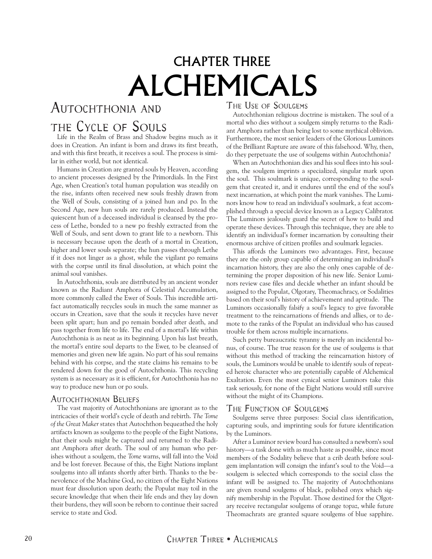# CHAPTER THREE ALCHEMICALS

# <span id="page-19-0"></span>AUTOCHTHONIA AND

# the Cycle of Souls

Life in the Realm of Brass and Shadow begins much as it does in Creation. An infant is born and draws its first breath, and with this first breath, it receives a soul. The process is similar in either world, but not identical.

Humans in Creation are granted souls by Heaven, according to ancient processes designed by the Primordials. In the First Age, when Creation's total human population was steadily on the rise, infants often received new souls freshly drawn from the Well of Souls, consisting of a joined hun and po. In the Second Age, new hun souls are rarely produced. Instead the quiescent hun of a deceased individual is cleansed by the process of Lethe, bonded to a new po freshly extracted from the Well of Souls, and sent down to grant life to a newborn. This is necessary because upon the death of a mortal in Creation, higher and lower souls separate; the hun passes through Lethe if it does not linger as a ghost, while the vigilant po remains with the corpse until its final dissolution, at which point the animal soul vanishes.

In Autochthonia, souls are distributed by an ancient wonder known as the Radiant Amphora of Celestial Accumulation, more commonly called the Ewer of Souls. This incredible artifact automatically recycles souls in much the same manner as occurs in Creation, save that the souls it recycles have never been split apart; hun and po remain bonded after death, and pass together from life to life. The end of a mortal's life within Autochthonia is as neat as its beginning. Upon his last breath, the mortal's entire soul departs to the Ewer, to be cleansed of memories and given new life again. No part of his soul remains behind with his corpse, and the state claims his remains to be rendered down for the good of Autochthonia. This recycling system is as necessary as it is efficient, for Autochthonia has no way to produce new hun or po souls.

#### Autochthonian Beliefs

The vast majority of Autochthonians are ignorant as to the intricacies of their world's cycle of death and rebirth. *The Tome of the Great Maker* states that Autochthon bequeathed the holy artifacts known as soulgems to the people of the Eight Nations, that their souls might be captured and returned to the Radiant Amphora after death. The soul of any human who perishes without a soulgem, the *Tome* warns, will fall into the Void and be lost forever. Because of this, the Eight Nations implant soulgems into all infants shortly after birth. Thanks to the benevolence of the Machine God, no citizen of the Eight Nations must fear dissolution upon death; the Populat may toil in the secure knowledge that when their life ends and they lay down their burdens, they will soon be reborn to continue their sacred service to state and God.

## The Use of Soulgems

Autochthonian religious doctrine is mistaken. The soul of a mortal who dies without a soulgem simply returns to the Radiant Amphora rather than being lost to some mythical oblivion. Furthermore, the most senior leaders of the Glorious Luminors of the Brilliant Rapture are aware of this falsehood. Why, then, do they perpetuate the use of soulgems within Autochthonia?

When an Autochthonian dies and his soul flees into his soulgem, the soulgem imprints a specialized, singular mark upon the soul. This soulmark is unique, corresponding to the soulgem that created it, and it endures until the end of the soul's next incarnation, at which point the mark vanishes. The Luminors know how to read an individual's soulmark, a feat accomplished through a special device known as a Legacy Calibrator. The Luminors jealously guard the secret of how to build and operate these devices. Through this technique, they are able to identify an individual's former incarnation by consulting their enormous archive of citizen profiles and soulmark legacies.

This affords the Luminors two advantages. First, because they are the only group capable of determining an individual's incarnation history, they are also the only ones capable of determining the proper disposition of his new life. Senior Luminors review case files and decide whether an infant should be assigned to the Populat, Olgotary, Theomachracy, or Sodalities based on their soul's history of achievement and aptitude. The Luminors occasionally falsify a soul's legacy to give favorable treatment to the reincarnations of friends and allies, or to demote to the ranks of the Populat an individual who has caused trouble for them across multiple incarnations.

Such petty bureaucratic tyranny is merely an incidental bonus, of course. The true reason for the use of soulgems is that without this method of tracking the reincarnation history of souls, the Luminors would be unable to identify souls of repeated heroic character who are potentially capable of Alchemical Exaltation. Even the most cynical senior Luminors take this task seriously, for none of the Eight Nations would still survive without the might of its Champions.

### The Function of Soulgems

Soulgems serve three purposes: Social class identification, capturing souls, and imprinting souls for future identification by the Luminors.

After a Luminor review board has consulted a newborn's soul history—a task done with as much haste as possible, since most members of the Sodality believe that a crib death before soulgem implantation will consign the infant's soul to the Void—a soulgem is selected which corresponds to the social class the infant will be assigned to. The majority of Autochthonians are given round soulgems of black, polished onyx which signify membership in the Populat. Those destined for the Olgotary receive rectangular soulgems of orange topaz, while future Theomachrats are granted square soulgems of blue sapphire.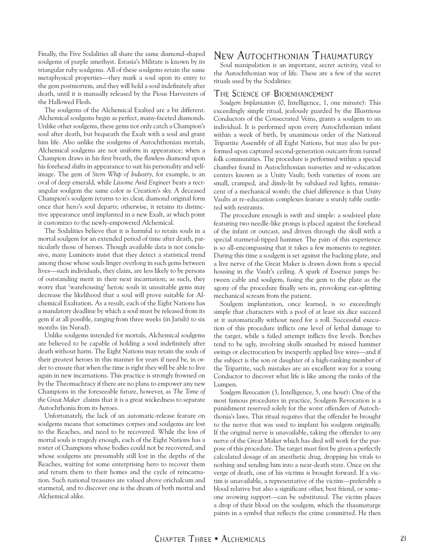<span id="page-20-0"></span>Finally, the Five Sodalities all share the same diamond-shaped soulgems of purple amethyst. Estasia's Militate is known by its triangular ruby soulgems. All of these soulgems retain the same metaphysical properties—they mark a soul upon its entry to the gem postmortem, and they will hold a soul indefinitely after death, until it is manually released by the Pious Harvesters of the Hallowed Flesh.

The soulgems of the Alchemical Exalted are a bit different. Alchemical soulgems begin as perfect, many-faceted diamonds. Unlike other soulgems, these gems not only catch a Champion's soul after death, but bequeath the Exalt with a soul and grant him life. Also unlike the soulgems of Autochthonian mortals, Alchemical soulgems are not uniform in appearance; when a Champion draws in his first breath, the flawless diamond upon his forehead shifts in appearance to suit his personality and selfimage. The gem of *Stern Whip of Industry*, for example, is an oval of deep emerald, while *Lissome Avid Engineer* bears a rectangular soulgem the same color as Creation's sky. A deceased Champion's soulgem returns to its clear, diamond original form once that hero's soul departs; otherwise, it retains its distinctive appearance until implanted in a new Exalt, at which point it customizes to the newly-empowered Alchemical.

The Sodalities believe that it is harmful to retain souls in a mortal soulgem for an extended period of time after death, particularly those of heroes. Though available data is not conclusive, many Luminors insist that they detect a statistical trend among those whose souls linger overlong in such gems between lives—such individuals, they claim, are less likely to be persons of outstanding merit in their next incarnation; as such, they worry that 'warehousing' heroic souls in unsuitable gems may decrease the likelihood that a soul will prove suitable for Alchemical Exaltation. As a result, each of the Eight Nations has a mandatory deadline by which a soul must be released from its gem if at all possible, ranging from three weeks (in Jarish) to six months (in Nurad).

Unlike soulgems intended for mortals, Alchemical soulgems are believed to be capable of holding a soul indefinitely after death without harm. The Eight Nations may retain the souls of their greatest heroes in this manner for years if need be, in order to ensure that when the time is right they will be able to live again in new incarnations. This practice is strongly frowned on by the Theomachracy if there are no plans to empower any new Champions in the foreseeable future, however, as *The Tome of the Great Maker* claims that it is a great wickedness to separate Autochthonia from its heroes.

Unfortunately, the lack of an automatic-release feature on soulgems means that sometimes corpses and soulgems are lost to the Reaches, and need to be recovered. While the loss of mortal souls is tragedy enough, each of the Eight Nations has a roster of Champions whose bodies could not be recovered, and whose soulgems are presumably still lost in the depths of the Reaches, waiting for some enterprising hero to recover them and return them to their homes and the cycle of reincarnation. Such national treasures are valued above orichalcum and starmetal, and to discover one is the dream of both mortal and Alchemical alike.

# New Autochthonian Thaumaturgy

Soul manipulation is an important, secret activity, vital to the Autochthonian way of life. These are a few of the secret rituals used by the Sodalities:

#### The Science of Bioenhancement

*Soulgem Implantation* (0, Intelligence, 1, one minute): This exceedingly simple ritual, jealously guarded by the Illustrious Conductors of the Consecrated Veins, grants a soulgem to an individual. It is performed upon every Autochthonian infant within a week of birth, by unanimous order of the National Tripartite Assembly of all Eight Nations, but may also be performed upon captured second-generation outcasts from tunnel folk communities. The procedure is performed within a special chamber found in Autochthonian nurseries and re-education centers known as a Unity Vault; both varieties of room are small, cramped, and dimly-lit by subdued red lights, reminiscent of a mechanical womb; the chief difference is that Unity Vaults at re-education complexes feature a sturdy table outfitted with restraints.

The procedure enough is swift and simple: a soulsteel plate featuring two needle-like prongs is placed against the forehead of the infant or outcast, and driven through the skull with a special starmetal-tipped hammer. The pain of this experience is so all-encompassing that it takes a few moments to register. During this time a soulgem is set against the backing plate, and a live nerve of the Great Maker is drawn down from a special housing in the Vault's ceiling. A spark of Essence jumps between cable and soulgem, fusing the gem to the plate as the agony of the procedure finally sets in, provoking ear-splitting mechanical scream from the patient.

Soulgem implantation, once learned, is so exceedingly simple that characters with a pool of at least six dice succeed at it automatically without need for a roll. Successful execution of this procedure inflicts one level of lethal damage to the target, while a failed attempt inflicts five levels. Botches tend to be ugly, involving skulls smashed by missed hammer swings or electrocution by inexpertly applied live wires—and if the subject is the son or daughter of a high-ranking member of the Tripartite, such mistakes are an excellent way for a young Conductor to discover what life is like among the ranks of the Lumpen.

*Soulgem Revocation* (3, Intelligence, 5, one hour): One of the most famous procedures in practice, Soulgem Revocation is a punishment reserved solely for the worst offenders of Autochthonia's laws. This ritual requires that the offender be brought to the nerve that was used to implant his soulgem originally. If the original nerve is unavailable, taking the offender to any nerve of the Great Maker which has died will work for the purpose of this procedure. The target must first be given a perfectly calculated dosage of an anesthetic drug, dropping his vitals to nothing and sending him into a near-death state. Once on the verge of death, one of his victims is brought forward. If a victim is unavailable, a representative of the victim—preferably a blood relative but also a significant other, best friend, or someone avowing support—can be substituted. The victim places a drop of their blood on the soulgem, which the thaumaturge paints in a symbol that reflects the crime committed. He then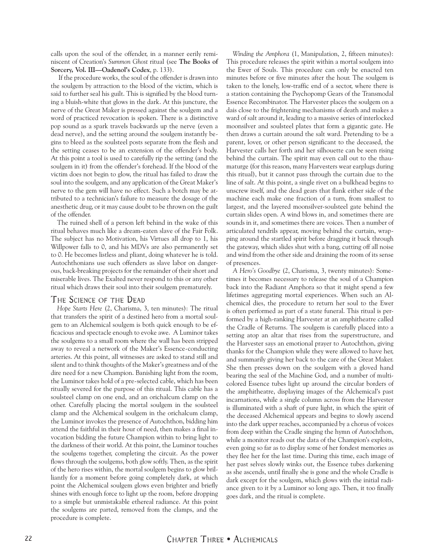calls upon the soul of the offender, in a manner eerily reminiscent of Creation's *Summon Ghost* ritual (see **The Books of Sorcery, Vol. III—Oadenol's Codex**, p. 133).

 If the procedure works, the soul of the offender is drawn into the soulgem by attraction to the blood of the victim, which is said to further seal his guilt. This is signified by the blood turning a bluish-white that glows in the dark. At this juncture, the nerve of the Great Maker is pressed against the soulgem and a word of practiced revocation is spoken. There is a distinctive pop sound as a spark travels backwards up the nerve (even a dead nerve), and the setting around the soulgem instantly begins to bleed as the soulsteel posts separate from the flesh and the setting ceases to be an extension of the offender's body. At this point a tool is used to carefully rip the setting (and the soulgem in it) from the offender's forehead. If the blood of the victim does not begin to glow, the ritual has failed to draw the soul into the soulgem, and any application of the Great Maker's nerve to the gem will have no effect. Such a botch may be attributed to a technician's failure to measure the dosage of the anesthetic drug, or it may cause doubt to be thrown on the guilt of the offender.

The ruined shell of a person left behind in the wake of this ritual behaves much like a dream-eaten slave of the Fair Folk. The subject has no Motivation, his Virtues all drop to 1, his Willpower falls to 0, and his MDVs are also permanently set to 0. He becomes listless and pliant, doing whatever he is told. Autochthonians use such offenders as slave labor on dangerous, back-breaking projects for the remainder of their short and miserable lives. The Exalted never respond to this or any other ritual which draws their soul into their soulgem prematurely.

### The Science of the Dead

*Hope Starts Here* (2, Charisma, 3, ten minutes): The ritual that transfers the spirit of a destined hero from a mortal soulgem to an Alchemical soulgem is both quick enough to be efficacious and spectacle enough to evoke awe. A Luminor takes the soulgems to a small room where the wall has been stripped away to reveal a network of the Maker's Essence-conducting arteries. At this point, all witnesses are asked to stand still and silent and to think thoughts of the Maker's greatness and of the dire need for a new Champion. Banishing light from the room, the Luminor takes hold of a pre-selected cable, which has been ritually severed for the purpose of this ritual. This cable has a soulsteel clamp on one end, and an orichalcum clamp on the other. Carefully placing the mortal soulgem in the soulsteel clamp and the Alchemical soulgem in the orichalcum clamp, the Luminor invokes the presence of Autochthon, bidding him attend the faithful in their hour of need, then makes a final invocation bidding the future Champion within to bring light to the darkness of their world. At this point, the Luminor touches the soulgems together, completing the circuit. As the power flows through the soulgems, both glow softly. Then, as the spirit of the hero rises within, the mortal soulgem begins to glow brilliantly for a moment before going completely dark, at which point the Alchemical soulgem glows even brighter and briefly shines with enough force to light up the room, before dropping to a simple but unmistakable ethereal radiance. At this point the soulgems are parted, removed from the clamps, and the procedure is complete.

*Winding the Amphora* (1, Manipulation, 2, fifteen minutes): This procedure releases the spirit within a mortal soulgem into the Ewer of Souls. This procedure can only be enacted ten minutes before or five minutes after the hour. The soulgem is taken to the lonely, low-traffic end of a sector, where there is a station containing the Psychopomp Gears of the Transmodal Essence Recombinator. The Harvester places the soulgem on a dais close to the frightening mechanisms of death and makes a ward of salt around it, leading to a massive series of interlocked moonsilver and soulsteel plates that form a gigantic gate. He then draws a curtain around the salt ward. Pretending to be a parent, lover, or other person significant to the deceased, the Harvester calls her forth and her silhouette can be seen rising behind the curtain. The spirit may even call out to the thaumaturge (for this reason, many Harvesters wear earplugs during this ritual), but it cannot pass through the curtain due to the line of salt. At this point, a single rivet on a bulkhead begins to unscrew itself, and the dead gears that flank either side of the machine each make one fraction of a turn, from smallest to largest, and the layered moonsilver-soulsteel gate behind the curtain slides open. A wind blows in, and sometimes there are sounds in it, and sometimes there are voices. Then a number of articulated tendrils appear, moving behind the curtain, wrapping around the startled spirit before dragging it back through the gateway, which slides shut with a bang, cutting off all noise and wind from the other side and draining the room of its sense of presences.

*A Hero's Goodbye* (2, Charisma, 3, twenty minutes): Sometimes it becomes necessary to release the soul of a Champion back into the Radiant Amphora so that it might spend a few lifetimes aggregating mortal experiences. When such an Alchemical dies, the procedure to return her soul to the Ewer is often performed as part of a state funeral. This ritual is performed by a high-ranking Harvester at an amphitheatre called the Cradle of Returns. The soulgem is carefully placed into a setting atop an altar that rises from the superstructure, and the Harvester says an emotional prayer to Autochthon, giving thanks for the Champion while they were allowed to have her, and summarily giving her back to the care of the Great Maker. She then presses down on the soulgem with a gloved hand bearing the seal of the Machine God, and a number of multicolored Essence tubes light up around the circular borders of the amphitheatre, displaying images of the Alchemical's past incarnations, while a single column across from the Harvester is illuminated with a shaft of pure light, in which the spirit of the deceased Alchemical appears and begins to slowly ascend into the dark upper reaches, accompanied by a chorus of voices from deep within the Cradle singing the hymn of Autochthon, while a monitor reads out the data of the Champion's exploits, even going so far as to display some of her fondest memories as they flee her for the last time. During this time, each image of her past selves slowly winks out, the Essence tubes darkening as she ascends, until finally she is gone and the whole Cradle is dark except for the soulgem, which glows with the initial radiance given to it by a Luminor so long ago. Then, it too finally goes dark, and the ritual is complete.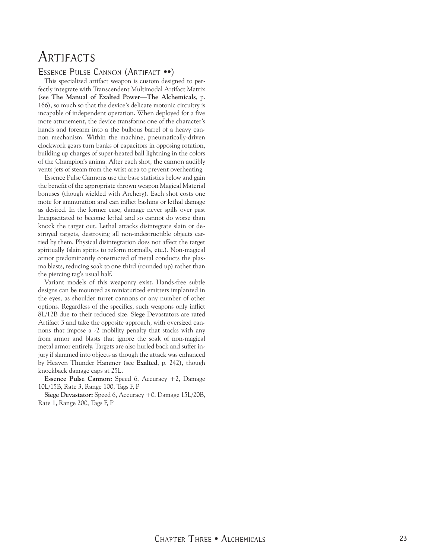# <span id="page-22-0"></span>**ARTIFACTS**

#### Essence Pulse Cannon (Artifact ••)

This specialized artifact weapon is custom designed to perfectly integrate with Transcendent Multimodal Artifact Matrix (see **The Manual of Exalted Power—The Alchemicals**, p. 166), so much so that the device's delicate motonic circuitry is incapable of independent operation. When deployed for a five mote attunement, the device transforms one of the character's hands and forearm into a the bulbous barrel of a heavy cannon mechanism. Within the machine, pneumatically-driven clockwork gears turn banks of capacitors in opposing rotation, building up charges of super-heated ball lightning in the colors of the Champion's anima. After each shot, the cannon audibly vents jets of steam from the wrist area to prevent overheating.

Essence Pulse Cannons use the base statistics below and gain the benefit of the appropriate thrown weapon Magical Material bonuses (though wielded with Archery). Each shot costs one mote for ammunition and can inflict bashing or lethal damage as desired. In the former case, damage never spills over past Incapacitated to become lethal and so cannot do worse than knock the target out. Lethal attacks disintegrate slain or destroyed targets, destroying all non-indestructible objects carried by them. Physical disintegration does not affect the target spiritually (slain spirits to reform normally, etc.). Non-magical armor predominantly constructed of metal conducts the plasma blasts, reducing soak to one third (rounded up) rather than the piercing tag's usual half.

Variant models of this weaponry exist. Hands-free subtle designs can be mounted as miniaturized emitters implanted in the eyes, as shoulder turret cannons or any number of other options. Regardless of the specifics, such weapons only inflict 8L/12B due to their reduced size. Siege Devastators are rated Artifact 3 and take the opposite approach, with oversized cannons that impose a -2 mobility penalty that stacks with any from armor and blasts that ignore the soak of non-magical metal armor entirely. Targets are also hurled back and suffer injury if slammed into objects as though the attack was enhanced by Heaven Thunder Hammer (see **Exalted**, p. 242), though knockback damage caps at 25L.

**Essence Pulse Cannon:** Speed 6, Accuracy +2, Damage 10L/15B, Rate 3, Range 100, Tags F, P

**Siege Devastator:** Speed 6, Accuracy +0, Damage 15L/20B, Rate 1, Range 200, Tags F, P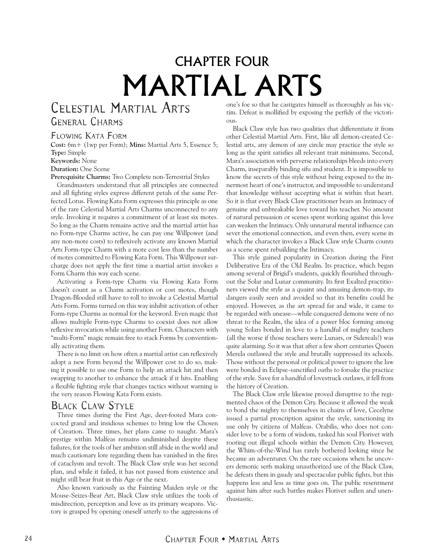# CHAPTER FOUR MARTIAL ARTS

# <span id="page-23-0"></span>Celestial Martial Arts General Charms

### Flowing Kata Form

**Cost:** 6m+ (1wp per Form); **Mins:** Martial Arts 5, Essence 5; **Type:** Simple **Keywords:** None

**Duration:** One Scene

**Prerequisite Charms:** Two Complete non-Terrestrial Styles

Grandmasters understand that all principles are connected and all fighting styles express different petals of the same Perfected Lotus. Flowing Kata Form expresses this principle as one of the rare Celestial Martial Arts Charms unconnected to any style. Invoking it requires a commitment of at least six motes. So long as the Charm remains active and the martial artist has no Form-type Charms active, he can pay one Willpower (and any non-mote costs) to reflexively activate any known Martial Arts Form-type Charm with a mote cost less than the number of motes committed to Flowing Kata Form. This Willpower surcharge does not apply the first time a martial artist invokes a Form Charm this way each scene.

Activating a Form-type Charm via Flowing Kata Form doesn't count as a Charm activation or cost motes, though Dragon-Blooded still have to roll to invoke a Celestial Martial Arts Form. Forms turned on this way inhibit activation of other Form-type Charms as normal for the keyword. Even magic that allows multiple Form-type Charms to coexist does not allow reflexive invocation while using another Form. Characters with "multi-Form" magic remain free to stack Forms by conventionally activating them.

There is no limit on how often a martial artist can reflexively adopt a new Form beyond the Willpower cost to do so, making it possible to use one Form to help an attack hit and then swapping to another to enhance the attack if it hits. Enabling a flexible fighting style that changes tactics without warning is the very reason Flowing Kata Form exists.

## Black Claw Style

Three times during the First Age, deer-footed Mara concocted grand and insidious schemes to bring low the Chosen of Creation. Three times, her plans came to naught. Mara's prestige within Malfeas remains undiminished despite these failures, for the tools of her ambition still abide in the world and much cautionary lore regarding them has vanished in the fires of cataclysm and revolt. The Black Claw style was her second plan, and while it failed, it has not passed from existence and might still bear fruit in this Age or the next.

Also known variously as the Fainting Maiden style or the Mouse-Seizes-Bear Art, Black Claw style utilizes the tools of misdirection, perception and love as its primary weapons. Victory is grasped by opening oneself utterly to the aggressions of

one's foe so that he castigates himself as thoroughly as his victim. Defeat is mollified by exposing the perfidy of the victorious.

Black Claw style has two qualities that differentiate it from other Celestial Martial Arts. First, like all demon-created Celestial arts, any demon of any circle may practice the style so long as the spirit satisfies all relevant trait minimums. Second, Mara's association with perverse relationships bleeds into every Charm, inseparably binding sifu and student. It is impossible to know the secrets of this style without being exposed to the innermost heart of one's instructor, and impossible to understand that knowledge without accepting what is within that heart. So it is that every Black Claw practitioner bears an Intimacy of genuine and unbreakable love toward his teacher. No amount of natural persuasion or scenes spent working against this love can weaken the Intimacy. Only unnatural mental influence can sever the emotional connection, and even then, every scene in which the character invokes a Black Claw style Charm counts as a scene spent rebuilding the Intimacy.

This style gained popularity in Creation during the First Deliberative Era of the Old Realm. Its practice, which began among several of Brigid's students, quickly flourished throughout the Solar and Lunar community. Its first Exalted practitioners viewed the style as a quaint and amusing demon-trap, its dangers easily seen and avoided so that its benefits could be enjoyed. However, as the art spread far and wide, it came to be regarded with unease—while conquered demons were of no threat to the Realm, the idea of a power bloc forming among young Solars bonded in love to a handful of mighty teachers (all the worse if those teachers were Lunars, or Sidereals!) was quite alarming. So it was that after a few short centuries Queen Merela outlawed the style and brutally suppressed its schools. Those without the personal or political power to ignore the law were bonded in Eclipse-sanctified oaths to forsake the practice of the style. Save for a handful of lovestruck outlaws, it fell from the history of Creation.

The Black Claw style likewise proved disruptive to the regimented chaos of the Demon City. Because it allowed the weak to bond the mighty to themselves in chains of love, Cecelyne issued a partial proscription against the style, sanctioning its use only by citizens of Malfeas. Orabilis, who does not consider love to be a form of wisdom, tasked his soul Florivet with rooting out illegal schools within the Demon City. However, the Whim-of-the-Wind has rarely bothered looking since he became an adventurer. On the rare occasions when he uncovers demonic serfs making unauthorized use of the Black Claw, he defeats them in gaudy and spectacular public fights, but this happens less and less as time goes on. The public resentment against him after such battles makes Florivet sullen and unenthusiastic.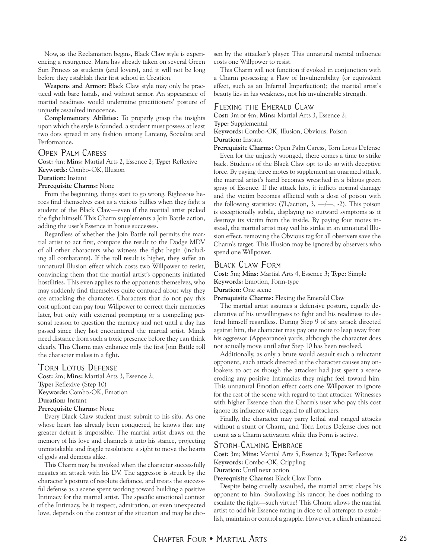Now, as the Reclamation begins, Black Claw style is experiencing a resurgence. Mara has already taken on several Green Sun Princes as students (and lovers), and it will not be long before they establish their first school in Creation.

**Weapons and Armor:** Black Claw style may only be practiced with bare hands, and without armor. An appearance of martial readiness would undermine practitioners' posture of unjustly assaulted innocence.

**Complementary Abilities:** To properly grasp the insights upon which the style is founded, a student must possess at least two dots spread in any fashion among Larceny, Socialize and Performance.

#### Open Palm Caress

**Cost:** 4m; **Mins:** Martial Arts 2, Essence 2; **Type:** Reflexive **Keywords:** Combo-OK, Illusion

#### **Duration:** Instant

#### **Prerequisite Charms:** None

From the beginning, things start to go wrong. Righteous heroes find themselves cast as a vicious bullies when they fight a student of the Black Claw—even if the martial artist picked the fight himself. This Charm supplements a Join Battle action, adding the user's Essence in bonus successes.

Regardless of whether the Join Battle roll permits the martial artist to act first, compare the result to the Dodge MDV of all other characters who witness the fight begin (including all combatants). If the roll result is higher, they suffer an unnatural Illusion effect which costs two Willpower to resist, convincing them that the martial artist's opponents initiated hostilities. This even applies to the opponents themselves, who may suddenly find themselves quite confused about why they are attacking the character. Characters that do not pay this cost upfront can pay four Willpower to correct their memories later, but only with external prompting or a compelling personal reason to question the memory and not until a day has passed since they last encountered the martial artist. Minds need distance from such a toxic presence before they can think clearly. This Charm may enhance only the first Join Battle roll the character makes in a fight.

#### Torn Lotus Defense

**Cost:** 2m; **Mins:** Martial Arts 3, Essence 2; **Type:** Reflexive (Step 10) **Keywords:** Combo-OK, Emotion **Duration:** Instant **Prerequisite Charms:** None

Every Black Claw student must submit to his sifu. As one whose heart has already been conquered, he knows that any greater defeat is impossible. The martial artist draws on the memory of his love and channels it into his stance, projecting unmistakable and fragile resolution: a sight to move the hearts of gods and demons alike.

This Charm may be invoked when the character successfully negates an attack with his DV. The aggressor is struck by the character's posture of resolute defiance, and treats the successful defense as a scene spent working toward building a positive Intimacy for the martial artist. The specific emotional context of the Intimacy, be it respect, admiration, or even unexpected love, depends on the context of the situation and may be cho-

sen by the attacker's player. This unnatural mental influence costs one Willpower to resist.

This Charm will not function if evoked in conjunction with a Charm possessing a Flaw of Invulnerability (or equivalent effect, such as an Infernal Imperfection); the martial artist's beauty lies in his weakness, not his invulnerable strength.

#### Flexing the Emerald Claw

**Cost:** 3m or 4m; **Mins:** Martial Arts 3, Essence 2;

**Type:** Supplemental

**Keywords:** Combo-OK, Illusion, Obvious, Poison **Duration:** Instant

**Prerequisite Charms:** Open Palm Caress, Torn Lotus Defense

Even for the unjustly wronged, there comes a time to strike back. Students of the Black Claw opt to do so with deceptive force. By paying three motes to supplement an unarmed attack, the martial artist's hand becomes wreathed in a bilious green spray of Essence. If the attack hits, it inflicts normal damage and the victim becomes afflicted with a dose of poison with the following statistics:  $(7L/\text{action}, 3, —/-, -2)$ . This poison is exceptionally subtle, displaying no outward symptoms as it destroys its victim from the inside. By paying four motes instead, the martial artist may veil his strike in an unnatural Illusion effect, removing the Obvious tag for all observers save the Charm's target. This Illusion may be ignored by observers who spend one Willpower.

#### Black Claw Form

**Cost:** 5m; **Mins:** Martial Arts 4, Essence 3; **Type:** Simple **Keywords:** Emotion, Form-type

**Duration:** One scene

**Prerequisite Charms:** Flexing the Emerald Claw

The martial artist assumes a defensive posture, equally declarative of his unwillingness to fight and his readiness to defend himself regardless. During Step 9 of any attack directed against him, the character may pay one mote to leap away from his aggressor (Appearance) yards, although the character does not actually move until after Step 10 has been resolved.

Additionally, as only a brute would assault such a reluctant opponent, each attack directed at the character causes any onlookers to act as though the attacker had just spent a scene eroding any positive Intimacies they might feel toward him. This unnatural Emotion effect costs one Willpower to ignore for the rest of the scene with regard to that attacker. Witnesses with higher Essence than the Charm's user who pay this cost ignore its influence with regard to all attackers.

Finally, the character may parry lethal and ranged attacks without a stunt or Charm, and Torn Lotus Defense does not count as a Charm activation while this Form is active.

#### Storm-Calming Embrace

**Cost:** 3m; **Mins:** Martial Arts 5, Essence 3; **Type:** Reflexive **Keywords:** Combo-OK, Crippling

**Duration:** Until next action

**Prerequisite Charms:** Black Claw Form

Despite being cruelly assaulted, the martial artist clasps his opponent to him. Swallowing his rancor, he does nothing to escalate the fight—such virtue! This Charm allows the martial artist to add his Essence rating in dice to all attempts to establish, maintain or control a grapple. However, a clinch enhanced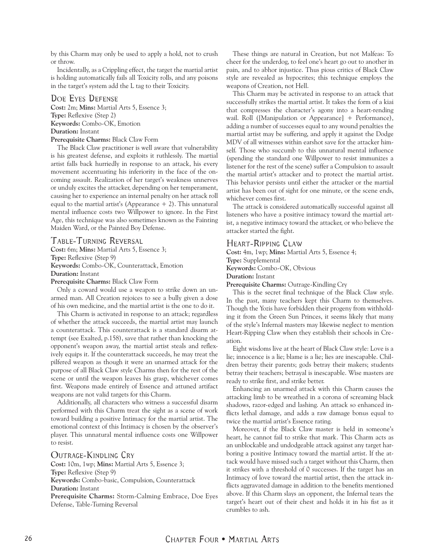by this Charm may only be used to apply a hold, not to crush or throw.

Incidentally, as a Crippling effect, the target the martial artist is holding automatically fails all Toxicity rolls, and any poisons in the target's system add the L tag to their Toxicity.

#### Doe Eyes Defense

**Cost:** 2m; **Mins:** Martial Arts 5, Essence 3; **Type:** Reflexive (Step 2) **Keywords:** Combo-OK, Emotion **Duration:** Instant **Prerequisite Charms:** Black Claw Form

The Black Claw practitioner is well aware that vulnerability is his greatest defense, and exploits it ruthlessly. The martial artist falls back hurriedly in response to an attack, his every movement accentuating his inferiority in the face of the oncoming assault. Realization of her target's weakness unnerves or unduly excites the attacker, depending on her temperament, causing her to experience an internal penalty on her attack roll equal to the martial artist's (Appearance  $+ 2$ ). This unnatural mental influence costs two Willpower to ignore. In the First Age, this technique was also sometimes known as the Fainting Maiden Ward, or the Painted Boy Defense.

#### Table-Turning Reversal

**Cost:** 6m; **Mins:** Martial Arts 5, Essence 3; **Type:** Reflexive (Step 9) **Keywords:** Combo-OK, Counterattack, Emotion **Duration:** Instant **Prerequisite Charms:** Black Claw Form

Only a coward would use a weapon to strike down an unarmed man. All Creation rejoices to see a bully given a dose of his own medicine, and the martial artist is the one to do it.

This Charm is activated in response to an attack; regardless of whether the attack succeeds, the martial artist may launch a counterattack. This counterattack is a standard disarm attempt (see Exalted, p.158), save that rather than knocking the opponent's weapon away, the martial artist steals and reflexively equips it. If the counterattack succeeds, he may treat the pilfered weapon as though it were an unarmed attack for the purpose of all Black Claw style Charms then for the rest of the scene or until the weapon leaves his grasp, whichever comes first. Weapons made entirely of Essence and attuned artifact weapons are not valid targets for this Charm.

Additionally, all characters who witness a successful disarm performed with this Charm treat the sight as a scene of work toward building a positive Intimacy for the martial artist. The emotional context of this Intimacy is chosen by the observer's player. This unnatural mental influence costs one Willpower to resist.

Outrage-Kindling Cry **Cost:** 10m, 1wp; **Mins:** Martial Arts 5, Essence 3;

**Type:** Reflexive (Step 9)

**Keywords:** Combo-basic, Compulsion, Counterattack **Duration:** Instant

**Prerequisite Charms:** Storm-Calming Embrace, Doe Eyes Defense, Table-Turning Reversal

These things are natural in Creation, but not Malfeas: To cheer for the underdog, to feel one's heart go out to another in pain, and to abhor injustice. Thus pious critics of Black Claw style are revealed as hypocrites; this technique employs the weapons of Creation, not Hell.

This Charm may be activated in response to an attack that successfully strikes the martial artist. It takes the form of a kiai that compresses the character's agony into a heart-rending wail. Roll ([Manipulation or Appearance] + Performance), adding a number of successes equal to any wound penalties the martial artist may be suffering, and apply it against the Dodge MDV of all witnesses within earshot save for the attacker himself. Those who succumb to this unnatural mental influence (spending the standard one Willpower to resist immunizes a listener for the rest of the scene) suffer a Compulsion to assault the martial artist's attacker and to protect the martial artist. This behavior persists until either the attacker or the martial artist has been out of sight for one minute, or the scene ends, whichever comes first.

The attack is considered automatically successful against all listeners who have a positive intimacy toward the martial artist, a negative intimacy toward the attacker, or who believe the attacker started the fight.

#### Heart-Ripping Claw

**Cost:** 4m, 1wp; **Mins:** Martial Arts 5, Essence 4; **Type:** Supplemental **Keywords:** Combo-OK, Obvious **Duration:** Instant **Prerequisite Charms:** Outrage-Kindling Cry This is the secret final technique of the Black Claw style.

In the past, many teachers kept this Charm to themselves. Though the Yozis have forbidden their progeny from withholding it from the Green Sun Princes, it seems likely that many of the style's Infernal masters may likewise neglect to mention Heart-Ripping Claw when they establish their schools in Creation.

Eight wisdoms live at the heart of Black Claw style: Love is a lie; innocence is a lie; blame is a lie; lies are inescapable. Children betray their parents; gods betray their makers; students betray their teachers; betrayal is inescapable. Wise masters are ready to strike first, and strike better.

Enhancing an unarmed attack with this Charm causes the attacking limb to be wreathed in a corona of screaming black shadows, razor-edged and lashing. An attack so enhanced inflicts lethal damage, and adds a raw damage bonus equal to twice the martial artist's Essence rating.

Moreover, if the Black Claw master is held in someone's heart, he cannot fail to strike that mark. This Charm acts as an unblockable and undodgeable attack against any target harboring a positive Intimacy toward the martial artist. If the attack would have missed such a target without this Charm, then it strikes with a threshold of 0 successes. If the target has an Intimacy of love toward the martial artist, then the attack inflicts aggravated damage in addition to the benefits mentioned above. If this Charm slays an opponent, the Infernal tears the target's heart out of their chest and holds it in his fist as it crumbles to ash.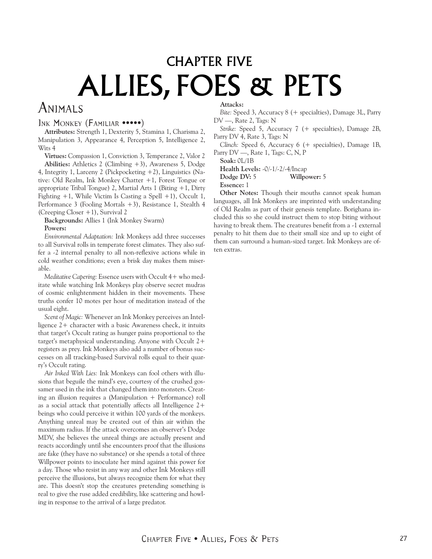# <span id="page-26-0"></span>CHAPTER FIVE ALLIES, FOES & PETS

# Animals

#### INK MONKEY (FAMILIAR •••••)

**Attributes:** Strength 1, Dexterity 5, Stamina 1, Charisma 2, Manipulation 3, Appearance 4, Perception 5, Intelligence 2, Wits 4

**Virtues:** Compassion 1, Conviction 3, Temperance 2, Valor 2

**Abilities:** Athletics 2 (Climbing +3), Awareness 5, Dodge 4, Integrity 1, Larceny 2 (Pickpocketing +2), Linguistics (Native: Old Realm, Ink Monkey Chatter +1, Forest Tongue or appropriate Tribal Tongue) 2, Martial Arts 1 (Biting  $+1$ , Dirty Fighting  $+1$ , While Victim Is Casting a Spell  $+1$ ), Occult 1, Performance 3 (Fooling Mortals +3), Resistance 1, Stealth 4 (Creeping Closer +1), Survival 2

**Backgrounds:** Allies 1 (Ink Monkey Swarm) **Powers:**

*Environmental Adaptation:* Ink Monkeys add three successes to all Survival rolls in temperate forest climates. They also suffer a -2 internal penalty to all non-reflexive actions while in cold weather conditions; even a brisk day makes them miserable.

*Meditative Capering:* Essence users with Occult 4+ who meditate while watching Ink Monkeys play observe secret mudras of cosmic enlightenment hidden in their movements. These truths confer 10 motes per hour of meditation instead of the usual eight.

*Scent of Magic:* Whenever an Ink Monkey perceives an Intelligence 2+ character with a basic Awareness check, it intuits that target's Occult rating as hunger pains proportional to the target's metaphysical understanding. Anyone with Occult 2+ registers as prey. Ink Monkeys also add a number of bonus successes on all tracking-based Survival rolls equal to their quarry's Occult rating.

*Air Inked With Lies:* Ink Monkeys can fool others with illusions that beguile the mind's eye, courtesy of the crushed gossamer used in the ink that changed them into monsters. Creating an illusion requires a (Manipulation + Performance) roll as a social attack that potentially affects all Intelligence 2+ beings who could perceive it within 100 yards of the monkeys. Anything unreal may be created out of thin air within the maximum radius. If the attack overcomes an observer's Dodge MDV, she believes the unreal things are actually present and reacts accordingly until she encounters proof that the illusions are fake (they have no substance) or she spends a total of three Willpower points to inoculate her mind against this power for a day. Those who resist in any way and other Ink Monkeys still perceive the illusions, but always recognize them for what they are. This doesn't stop the creatures pretending something is real to give the ruse added credibility, like scattering and howling in response to the arrival of a large predator.

#### **Attacks:**

*Bite:* Speed 3, Accuracy 8 (+ specialties), Damage 3L, Parry DV —, Rate 2, Tags: N

*Strike:* Speed 5, Accuracy 7 (+ specialties), Damage 2B, Parry DV 4, Rate 3, Tags: N

*Clinch:* Speed 6, Accuracy 6 (+ specialties), Damage 1B, Parry DV —, Rate 1, Tags: C, N, P

**Soak:** 0L/1B

**Health Levels:** -0/-1/-2/-4/Incap

**Dodge DV:** 5 **Willpower:** 5

**Essence:** 1

**Other Notes:** Though their mouths cannot speak human languages, all Ink Monkeys are imprinted with understanding of Old Realm as part of their genesis template. Borighana included this so she could instruct them to stop biting without having to break them. The creatures benefit from a -1 external penalty to hit them due to their small size and up to eight of them can surround a human-sized target. Ink Monkeys are often extras.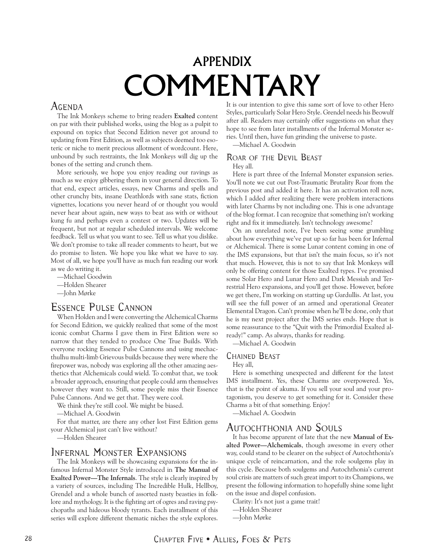# APPENDIX COMMENTARY

# <span id="page-27-0"></span>Agenda

The Ink Monkeys scheme to bring readers **Exalted** content on par with their published works, using the blog as a pulpit to expound on topics that Second Edition never got around to updating from First Edition, as well as subjects deemed too esoteric or niche to merit precious allotment of wordcount. Here, unbound by such restraints, the Ink Monkeys will dig up the bones of the setting and crunch them.

More seriously, we hope you enjoy reading our ravings as much as we enjoy gibbering them in your general direction. To that end, expect articles, essays, new Charms and spells and other crunchy bits, insane Deathlords with sane stats, fiction vignettes, locations you never heard of or thought you would never hear about again, new ways to beat ass with or without kung fu and perhaps even a contest or two. Updates will be frequent, but not at regular scheduled intervals. We welcome feedback. Tell us what you want to see. Tell us what you dislike. We don't promise to take all reader comments to heart, but we do promise to listen. We hope you like what we have to say. Most of all, we hope you'll have as much fun reading our work as we do writing it.

- —Michael Goodwin
- —Holden Shearer
- —John Mørke

# Essence Pulse Cannon

When Holden and I were converting the Alchemical Charms for Second Edition, we quickly realized that some of the most iconic combat Charms I gave them in First Edition were so narrow that they tended to produce One True Builds. With everyone rocking Essence Pulse Cannons and using mechacthulhu multi-limb Grievous builds because they were where the firepower was, nobody was exploring all the other amazing aesthetics that Alchemicals could wield. To combat that, we took a broader approach, ensuring that people could arm themselves however they want to. Still, some people miss their Essence Pulse Cannons. And we get that. They were cool.

We think they're still cool. We might be biased.

—Michael A. Goodwin

For that matter, are there any other lost First Edition gems your Alchemical just can't live without?

—Holden Shearer

### Infernal Monster Expansions

The Ink Monkeys will be showcasing expansions for the infamous Infernal Monster Style introduced in **The Manual of Exalted Power—The Infernals**. The style is clearly inspired by a variety of sources, including The Incredible Hulk, Hellboy, Grendel and a whole bunch of assorted nasty beasties in folklore and mythology. It is the fighting art of ogres and raving psychopaths and hideous bloody tyrants. Each installment of this series will explore different thematic niches the style explores.

It is our intention to give this same sort of love to other Hero Styles, particularly Solar Hero Style. Grendel needs his Beowulf after all. Readers may certainly offer suggestions on what they hope to see from later installments of the Infernal Monster series. Until then, have fun grinding the universe to paste.

—Michael A. Goodwin

#### Roar of the Devil Beast

Hey all.

Here is part three of the Infernal Monster expansion series. You'll note we cut out Post-Traumatic Brutality Roar from the previous post and added it here. It has an activation roll now, which I added after realizing there were problem interactions with later Charms by not including one. This is one advantage of the blog format. I can recognize that something isn't working right and fix it immediately. Isn't technology awesome?

On an unrelated note, I've been seeing some grumbling about how everything we've put up so far has been for Infernal or Alchemical. There is some Lunar content coming in one of the IMS expansions, but that isn't the main focus, so it's not that much. However, this is not to say that Ink Monkeys will only be offering content for those Exalted types. I've promised some Solar Hero and Lunar Hero and Dark Messiah and Terrestrial Hero expansions, and you'll get those. However, before we get there, I'm working on statting up Gardullis. At last, you will see the full power of an armed and operational Greater Elemental Dragon. Can't promise when he'll be done, only that he is my next project after the IMS series ends. Hope that is some reassurance to the "Quit with the Primordial Exalted already!" camp. As always, thanks for reading.

—Michael A. Goodwin

#### Chained Beast

Hey all,

Here is something unexpected and different for the latest IMS installment. Yes, these Charms are overpowered. Yes, that is the point of akuma. If you sell your soul and your protagonism, you deserve to get something for it. Consider these Charms a bit of that something. Enjoy!

—Michael A. Goodwin

### Autochthonia and Souls

It has become apparent of late that the new **Manual of Exalted Power—Alchemicals**, though awesome in every other way, could stand to be clearer on the subject of Autochthonia's unique cycle of reincarnation, and the role soulgems play in this cycle. Because both soulgems and Autochthonia's current soul crisis are matters of such great import to its Champions, we present the following information to hopefully shine some light on the issue and dispel confusion.

Clarity: It's not just a game trait!

- —Holden Shearer
- —John Mørke